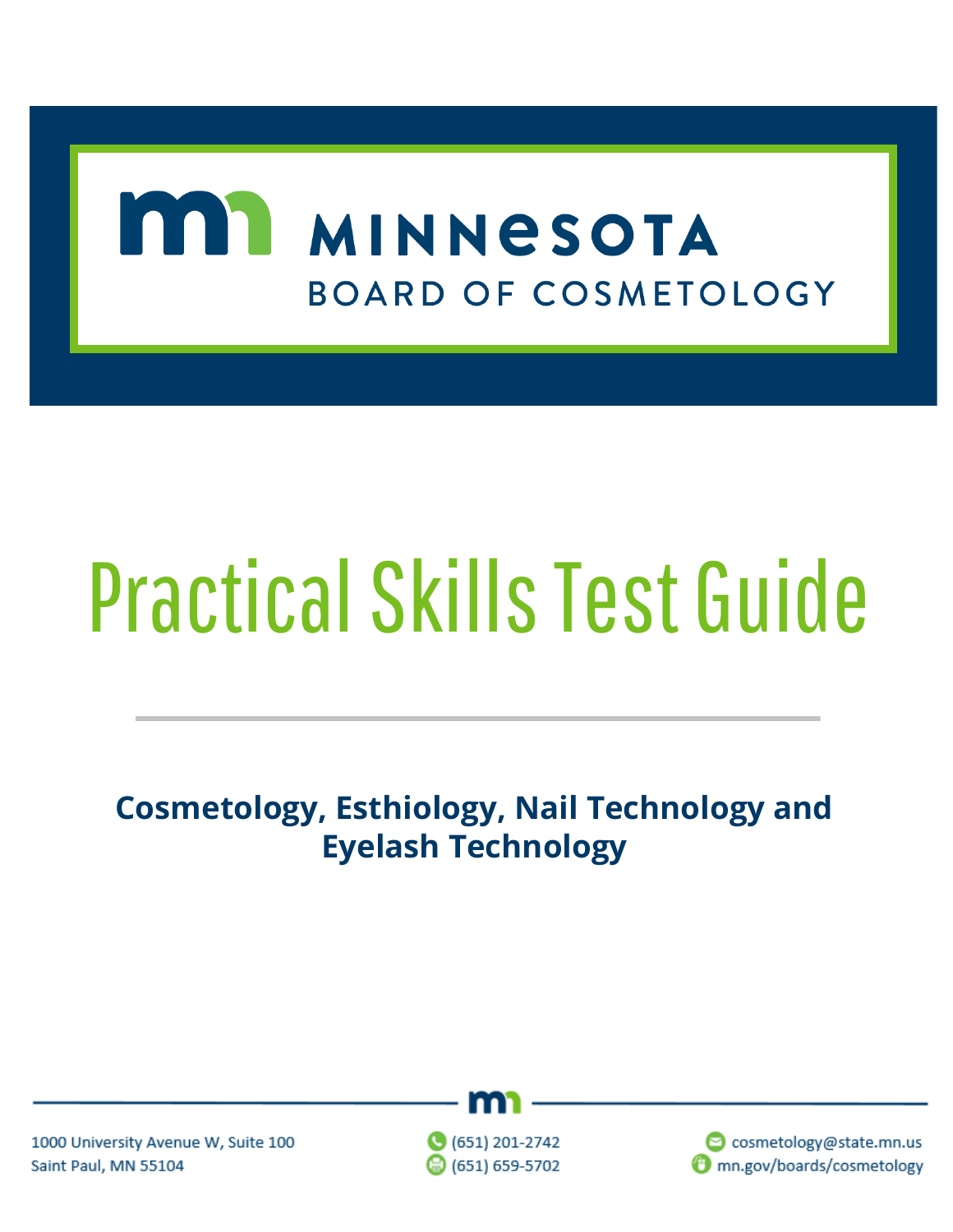## MINNESOTA **BOARD OF COSMETOLOGY**

# Practical Skills Test Guide

## **Cosmetology, Esthiology, Nail Technology and Eyelash Technology**



1000 University Avenue W, Suite 100 Saint Paul, MN 55104

 $\bigcirc$  (651) 201-2742 ◎ (651) 659-5702

cosmetology@state.mn.us mn.gov/boards/cosmetology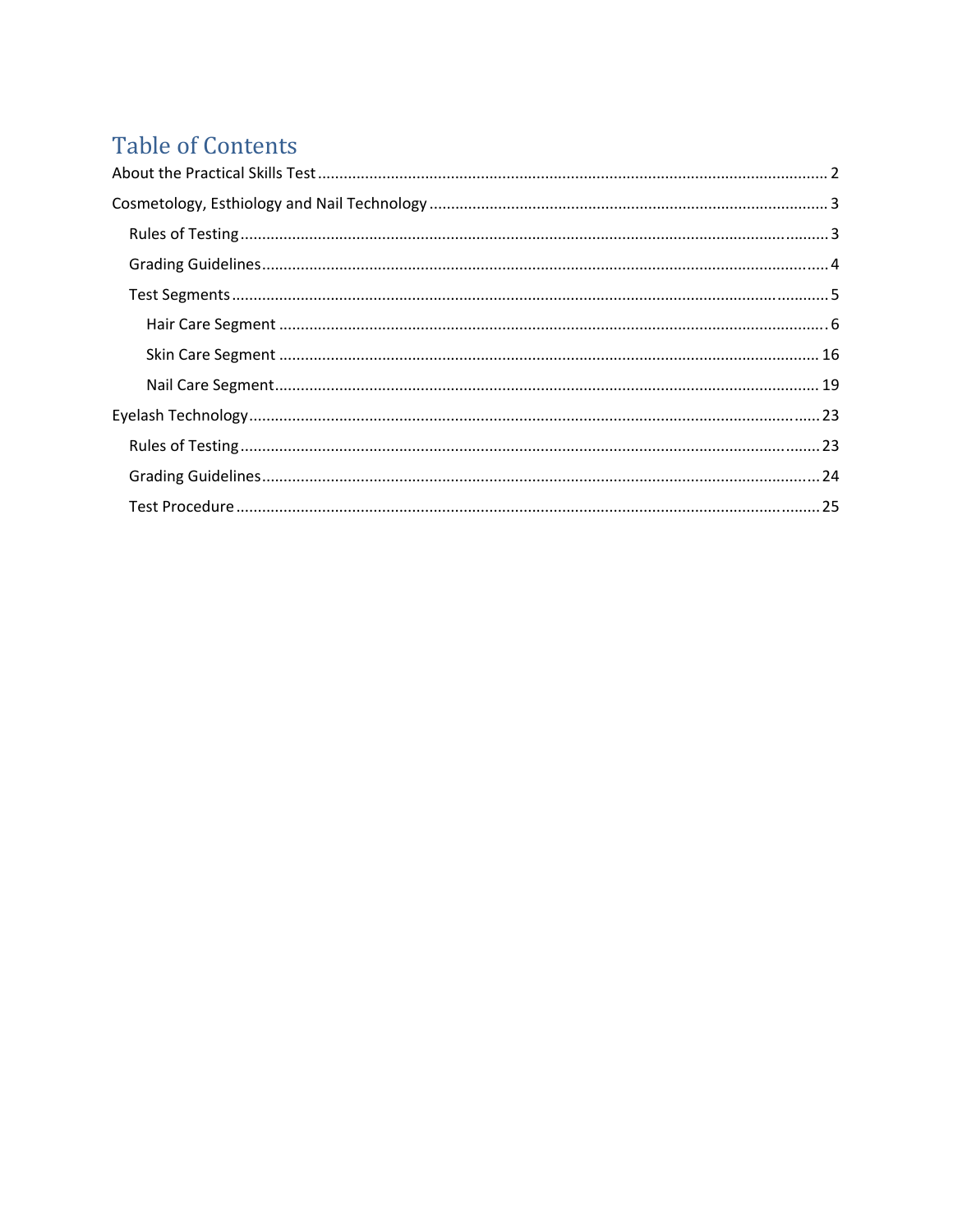## **Table of Contents**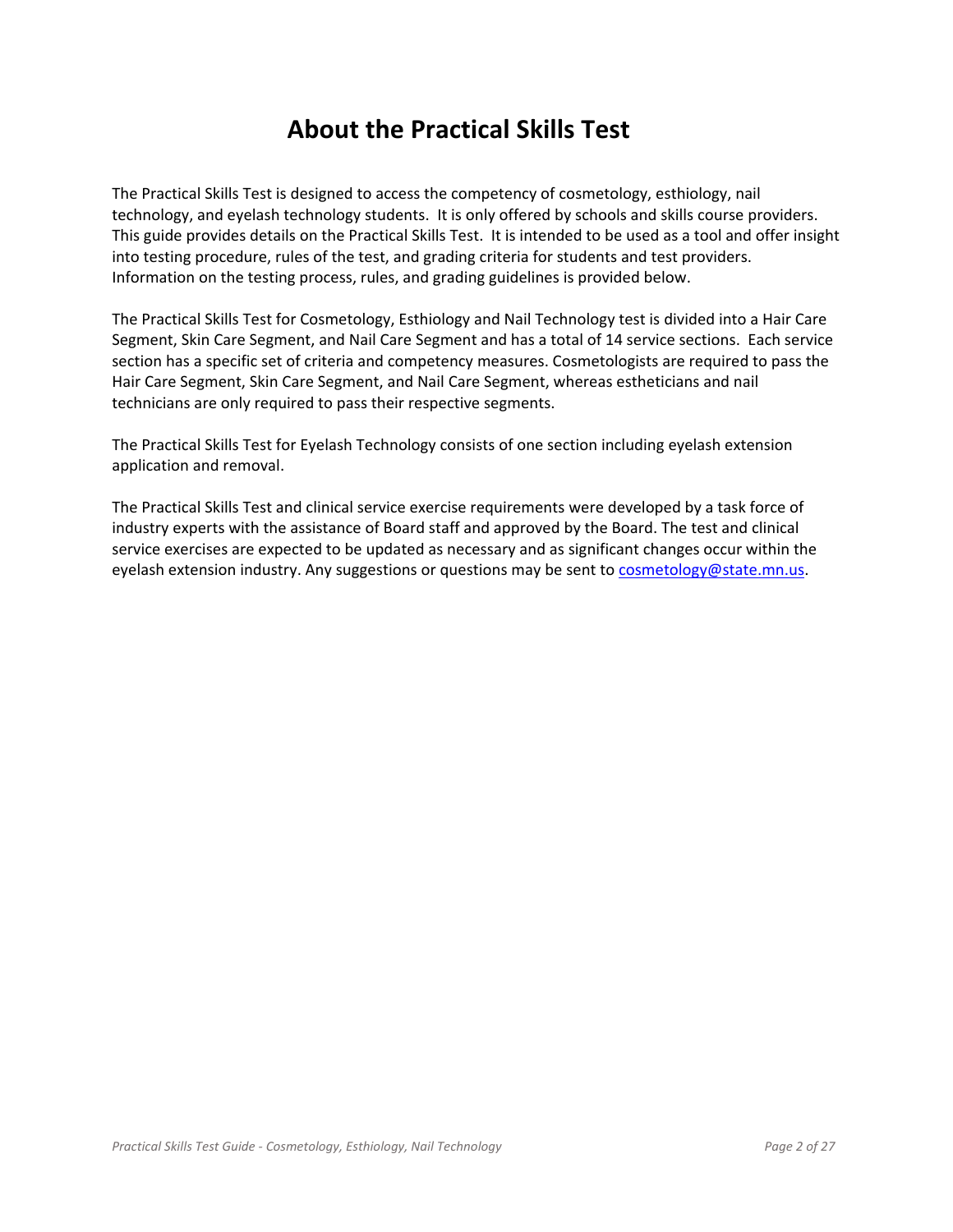### **About the Practical Skills Test**

The Practical Skills Test is designed to access the competency of cosmetology, esthiology, nail technology, and eyelash technology students. It is only offered by schools and skills course providers. This guide provides details on the Practical Skills Test. It is intended to be used as a tool and offer insight into testing procedure, rules of the test, and grading criteria for students and test providers. Information on the testing process, rules, and grading guidelines is provided below.

The Practical Skills Test for Cosmetology, Esthiology and Nail Technology test is divided into a Hair Care Segment, Skin Care Segment, and Nail Care Segment and has a total of 14 service sections. Each service section has a specific set of criteria and competency measures. Cosmetologists are required to pass the Hair Care Segment, Skin Care Segment, and Nail Care Segment, whereas estheticians and nail technicians are only required to pass their respective segments.

The Practical Skills Test for Eyelash Technology consists of one section including eyelash extension application and removal.

The Practical Skills Test and clinical service exercise requirements were developed by a task force of industry experts with the assistance of Board staff and approved by the Board. The test and clinical service exercises are expected to be updated as necessary and as significant changes occur within the eyelash extension industry. Any suggestions or questions may be sent to cosmetology@state.mn.us.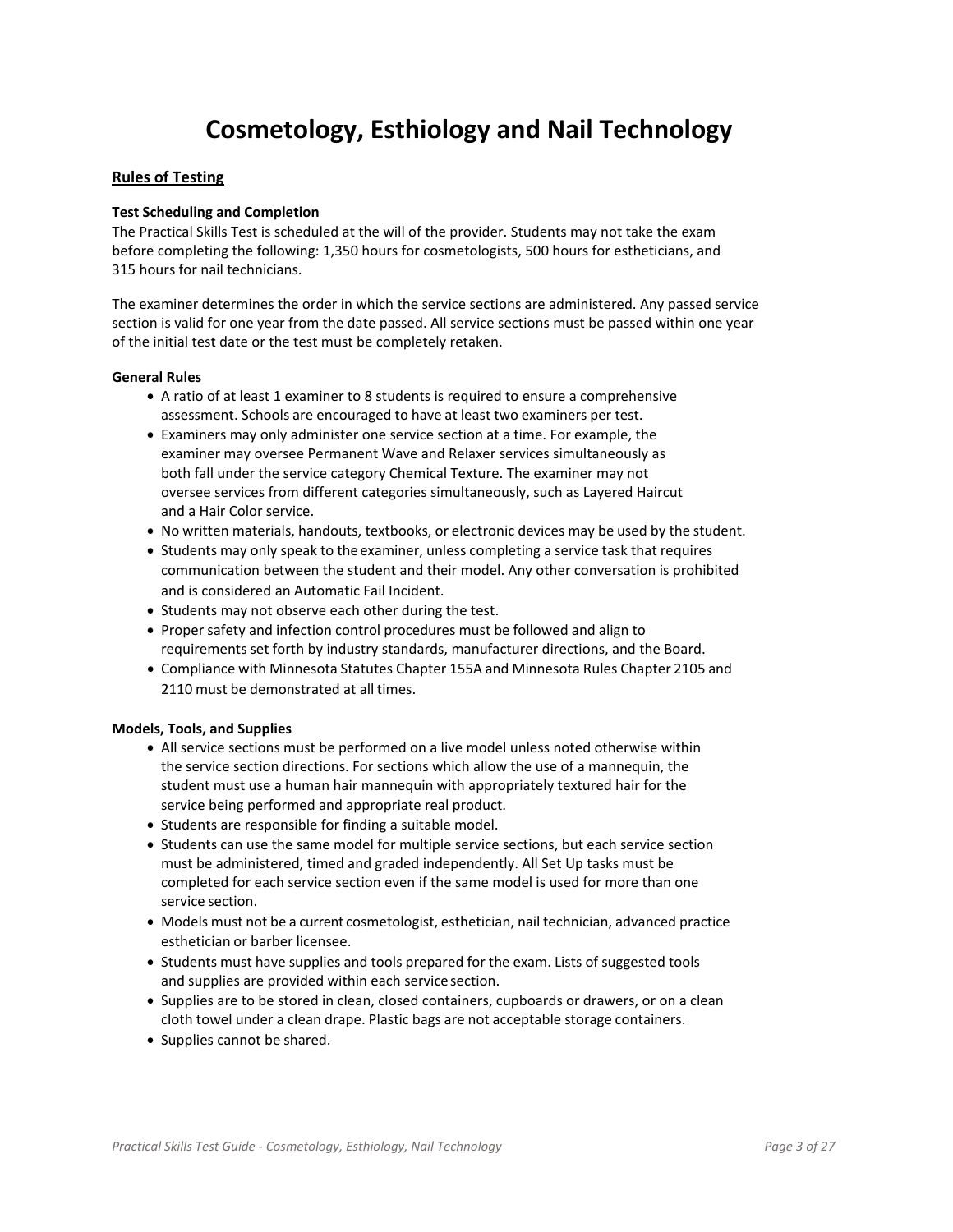## **Cosmetology, Esthiology and Nail Technology**

#### **Rules of Testing**

#### **Test Scheduling and Completion**

The Practical Skills Test is scheduled at the will of the provider. Students may not take the exam before completing the following: 1,350 hours for cosmetologists, 500 hours for estheticians, and 315 hours for nail technicians.

The examiner determines the order in which the service sections are administered. Any passed service section is valid for one year from the date passed. All service sections must be passed within one year of the initial test date or the test must be completely retaken.

#### **General Rules**

- A ratio of at least 1 examiner to 8 students is required to ensure a comprehensive assessment. Schools are encouraged to have at least two examiners per test.
- Examiners may only administer one service section at a time. For example, the examiner may oversee Permanent Wave and Relaxer services simultaneously as both fall under the service category Chemical Texture. The examiner may not oversee services from different categories simultaneously, such as Layered Haircut and a Hair Color service.
- No written materials, handouts, textbooks, or electronic devices may be used by the student.
- Students may only speak to the examiner, unless completing a service task that requires communication between the student and their model. Any other conversation is prohibited and is considered an Automatic Fail Incident.
- Students may not observe each other during the test.
- Proper safety and infection control procedures must be followed and align to requirements set forth by industry standards, manufacturer directions, and the Board.
- Compliance with Minnesota Statutes Chapter 155A and Minnesota Rules Chapter 2105 and 2110 must be demonstrated at all times.

#### **Models, Tools, and Supplies**

- All service sections must be performed on a live model unless noted otherwise within the service section directions. For sections which allow the use of a mannequin, the student must use a human hair mannequin with appropriately textured hair for the service being performed and appropriate real product.
- Students are responsible for finding a suitable model.
- Students can use the same model for multiple service sections, but each service section must be administered, timed and graded independently. All Set Up tasks must be completed for each service section even if the same model is used for more than one service section.
- Models must not be a current cosmetologist, esthetician, nail technician, advanced practice esthetician or barber licensee.
- Students must have supplies and tools prepared for the exam. Lists of suggested tools and supplies are provided within each service section.
- Supplies are to be stored in clean, closed containers, cupboards or drawers, or on a clean cloth towel under a clean drape. Plastic bags are not acceptable storage containers.
- Supplies cannot be shared.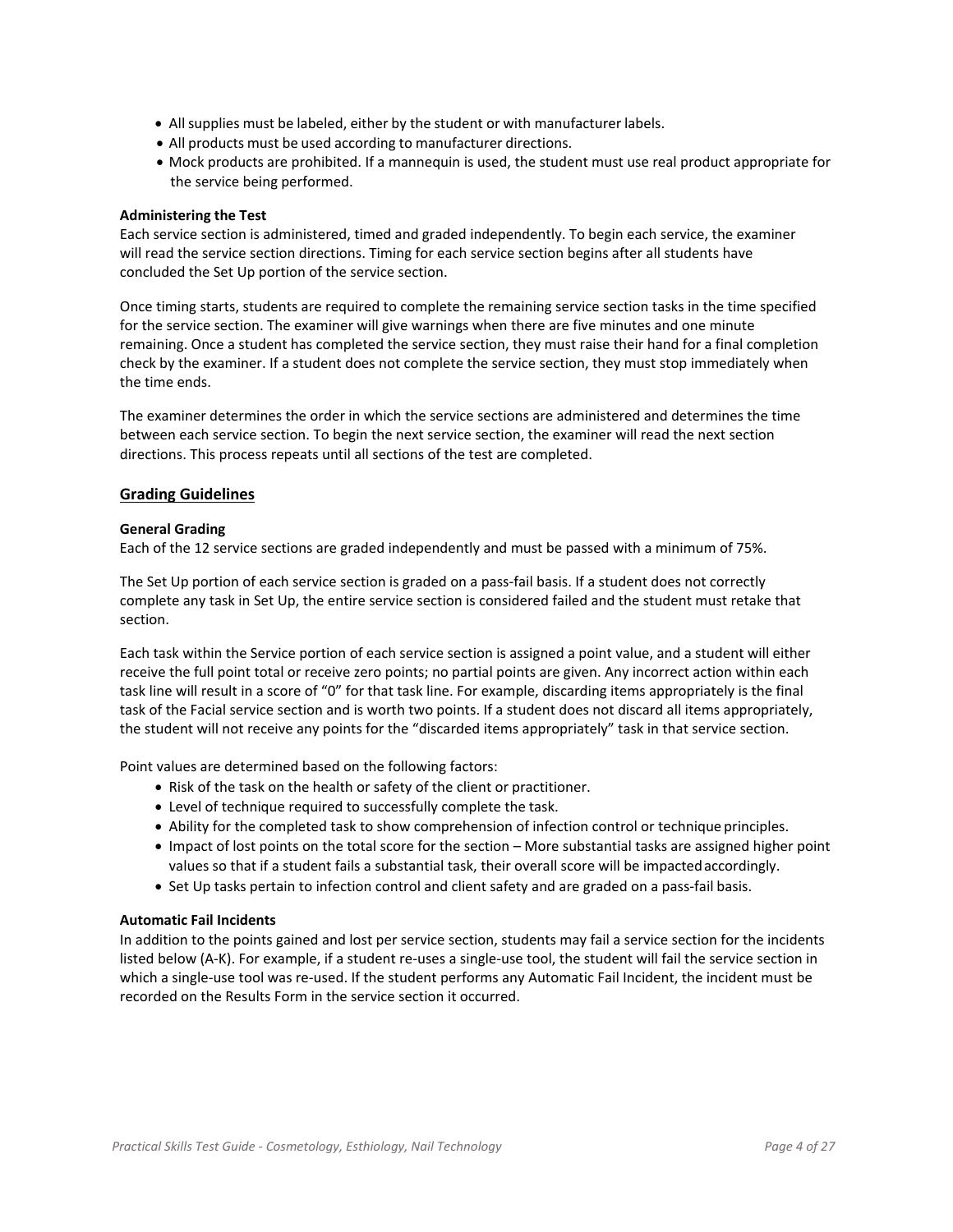- All supplies must be labeled, either by the student or with manufacturer labels.
- All products must be used according to manufacturer directions.
- Mock products are prohibited. If a mannequin is used, the student must use real product appropriate for the service being performed.

#### **Administering the Test**

Each service section is administered, timed and graded independently. To begin each service, the examiner will read the service section directions. Timing for each service section begins after all students have concluded the Set Up portion of the service section.

Once timing starts, students are required to complete the remaining service section tasks in the time specified for the service section. The examiner will give warnings when there are five minutes and one minute remaining. Once a student has completed the service section, they must raise their hand for a final completion check by the examiner. If a student does not complete the service section, they must stop immediately when the time ends.

The examiner determines the order in which the service sections are administered and determines the time between each service section. To begin the next service section, the examiner will read the next section directions. This process repeats until all sections of the test are completed.

#### **Grading Guidelines**

#### **General Grading**

Each of the 12 service sections are graded independently and must be passed with a minimum of 75%.

The Set Up portion of each service section is graded on a pass-fail basis. If a student does not correctly complete any task in Set Up, the entire service section is considered failed and the student must retake that section.

Each task within the Service portion of each service section is assigned a point value, and a student will either receive the full point total or receive zero points; no partial points are given. Any incorrect action within each task line will result in a score of "0" for that task line. For example, discarding items appropriately is the final task of the Facial service section and is worth two points. If a student does not discard all items appropriately, the student will not receive any points for the "discarded items appropriately" task in that service section.

Point values are determined based on the following factors:

- Risk of the task on the health or safety of the client or practitioner.
- Level of technique required to successfully complete the task.
- Ability for the completed task to show comprehension of infection control or technique principles.
- Impact of lost points on the total score for the section More substantial tasks are assigned higher point values so that if a student fails a substantial task, their overall score will be impacted accordingly.
- Set Up tasks pertain to infection control and client safety and are graded on a pass-fail basis.

#### **Automatic Fail Incidents**

In addition to the points gained and lost per service section, students may fail a service section for the incidents listed below (A‐K). For example, if a student re‐uses a single‐use tool, the student will fail the service section in which a single-use tool was re-used. If the student performs any Automatic Fail Incident, the incident must be recorded on the Results Form in the service section it occurred.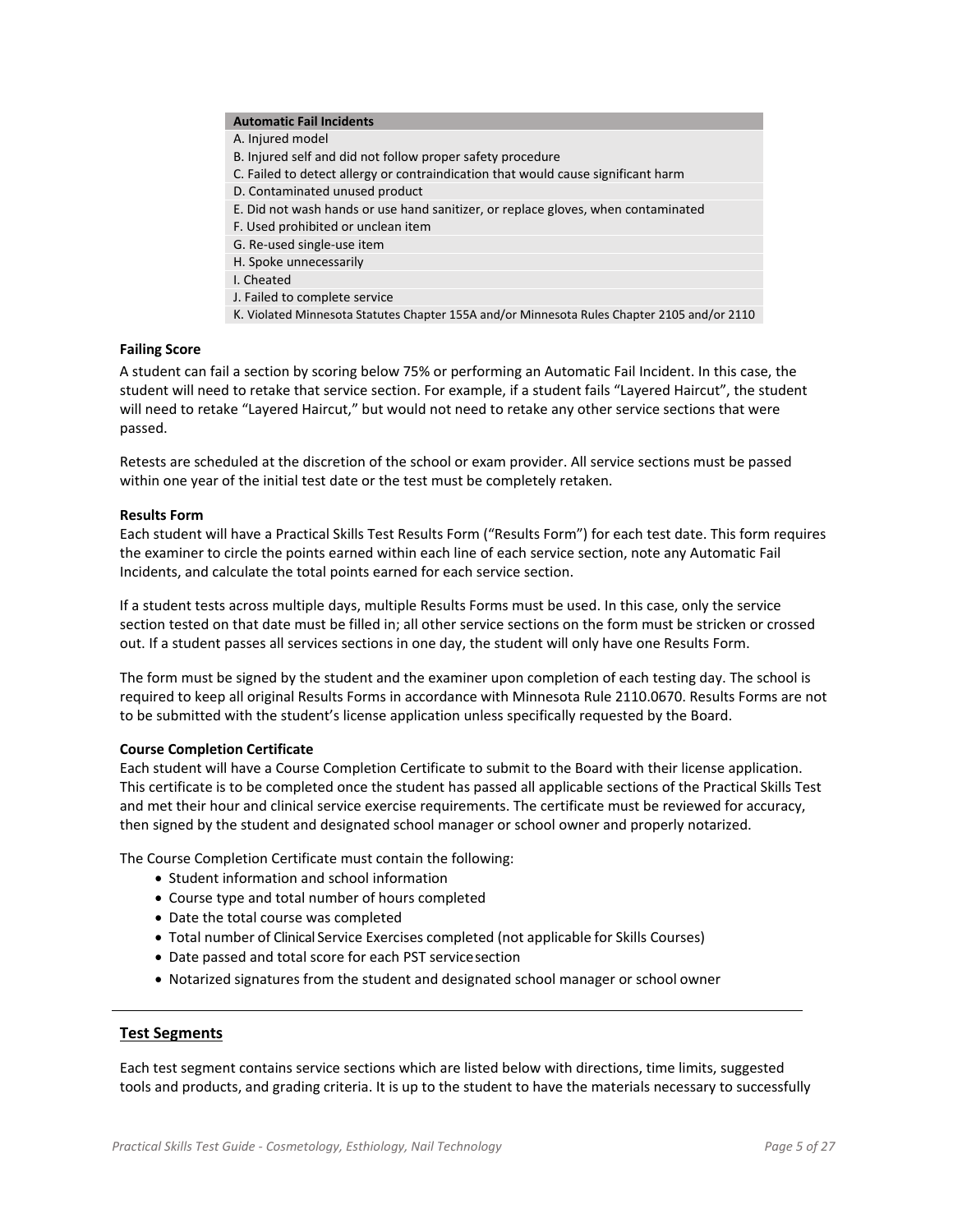#### **Automatic Fail Incidents**

- A. Injured model
- B. Injured self and did not follow proper safety procedure
- C. Failed to detect allergy or contraindication that would cause significant harm
- D. Contaminated unused product
- E. Did not wash hands or use hand sanitizer, or replace gloves, when contaminated
- F. Used prohibited or unclean item
- G. Re‐used single‐use item
- H. Spoke unnecessarily
- I. Cheated
- J. Failed to complete service
- K. Violated Minnesota Statutes Chapter 155A and/or Minnesota Rules Chapter 2105 and/or 2110

#### **Failing Score**

A student can fail a section by scoring below 75% or performing an Automatic Fail Incident. In this case, the student will need to retake that service section. For example, if a student fails "Layered Haircut", the student will need to retake "Layered Haircut," but would not need to retake any other service sections that were passed.

Retests are scheduled at the discretion of the school or exam provider. All service sections must be passed within one year of the initial test date or the test must be completely retaken.

#### **Results Form**

Each student will have a Practical Skills Test Results Form ("Results Form") for each test date. This form requires the examiner to circle the points earned within each line of each service section, note any Automatic Fail Incidents, and calculate the total points earned for each service section.

If a student tests across multiple days, multiple Results Forms must be used. In this case, only the service section tested on that date must be filled in; all other service sections on the form must be stricken or crossed out. If a student passes all services sections in one day, the student will only have one Results Form.

The form must be signed by the student and the examiner upon completion of each testing day. The school is required to keep all original Results Forms in accordance with Minnesota Rule 2110.0670. Results Forms are not to be submitted with the student's license application unless specifically requested by the Board.

#### **Course Completion Certificate**

Each student will have a Course Completion Certificate to submit to the Board with their license application. This certificate is to be completed once the student has passed all applicable sections of the Practical Skills Test and met their hour and clinical service exercise requirements. The certificate must be reviewed for accuracy, then signed by the student and designated school manager or school owner and properly notarized.

The Course Completion Certificate must contain the following:

- Student information and school information
- Course type and total number of hours completed
- Date the total course was completed
- Total number of Clinical Service Exercises completed (not applicable for Skills Courses)
- Date passed and total score for each PST servicesection
- Notarized signatures from the student and designated school manager or school owner

#### **Test Segments**

Each test segment contains service sections which are listed below with directions, time limits, suggested tools and products, and grading criteria. It is up to the student to have the materials necessary to successfully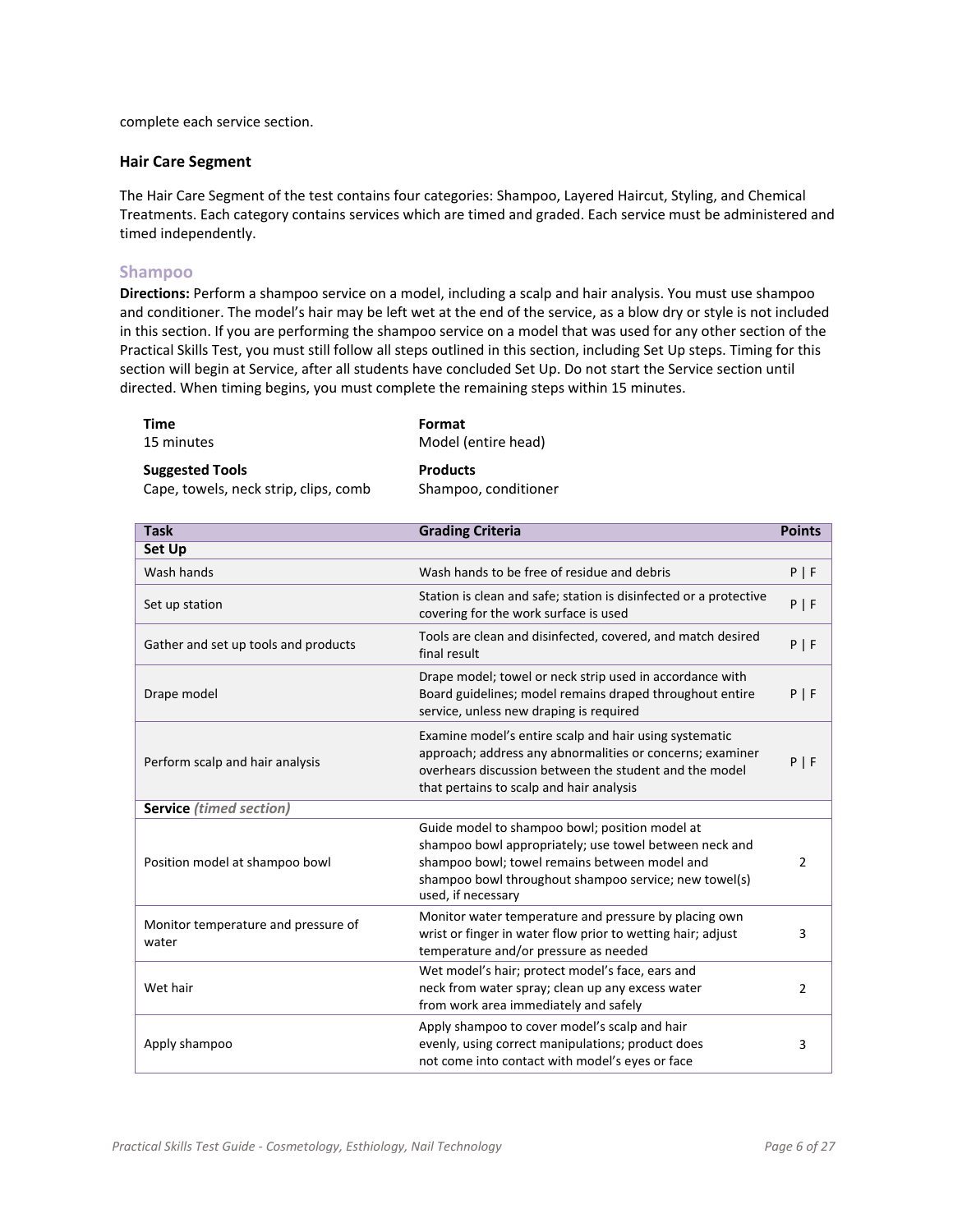complete each service section.

#### **Hair Care Segment**

The Hair Care Segment of the test contains four categories: Shampoo, Layered Haircut, Styling, and Chemical Treatments. Each category contains services which are timed and graded. Each service must be administered and timed independently.

#### **Shampoo**

**Directions:** Perform a shampoo service on a model, including a scalp and hair analysis. You must use shampoo and conditioner. The model's hair may be left wet at the end of the service, as a blow dry or style is not included in this section. If you are performing the shampoo service on a model that was used for any other section of the Practical Skills Test, you must still follow all steps outlined in this section, including Set Up steps. Timing for this section will begin at Service, after all students have concluded Set Up. Do not start the Service section until directed. When timing begins, you must complete the remaining steps within 15 minutes.

| Time                                  | Format               |
|---------------------------------------|----------------------|
| 15 minutes                            | Model (entire head)  |
| <b>Suggested Tools</b>                | <b>Products</b>      |
| Cape, towels, neck strip, clips, comb | Shampoo, conditioner |

| <b>Task</b>                                  | <b>Grading Criteria</b>                                                                                                                                                                                                                  | <b>Points</b>  |
|----------------------------------------------|------------------------------------------------------------------------------------------------------------------------------------------------------------------------------------------------------------------------------------------|----------------|
| Set Up                                       |                                                                                                                                                                                                                                          |                |
| Wash hands                                   | Wash hands to be free of residue and debris                                                                                                                                                                                              | P   F          |
| Set up station                               | Station is clean and safe; station is disinfected or a protective<br>covering for the work surface is used                                                                                                                               | P   F          |
| Gather and set up tools and products         | Tools are clean and disinfected, covered, and match desired<br>final result                                                                                                                                                              | P   F          |
| Drape model                                  | Drape model; towel or neck strip used in accordance with<br>Board guidelines; model remains draped throughout entire<br>service, unless new draping is required                                                                          | $P$   F        |
| Perform scalp and hair analysis              | Examine model's entire scalp and hair using systematic<br>approach; address any abnormalities or concerns; examiner<br>overhears discussion between the student and the model<br>that pertains to scalp and hair analysis                | $P$   F        |
| <b>Service</b> (timed section)               |                                                                                                                                                                                                                                          |                |
| Position model at shampoo bowl               | Guide model to shampoo bowl; position model at<br>shampoo bowl appropriately; use towel between neck and<br>shampoo bowl; towel remains between model and<br>shampoo bowl throughout shampoo service; new towel(s)<br>used, if necessary | 2              |
| Monitor temperature and pressure of<br>water | Monitor water temperature and pressure by placing own<br>wrist or finger in water flow prior to wetting hair; adjust<br>temperature and/or pressure as needed                                                                            | 3              |
| Wet hair                                     | Wet model's hair; protect model's face, ears and<br>neck from water spray; clean up any excess water<br>from work area immediately and safely                                                                                            | $\overline{2}$ |
| Apply shampoo                                | Apply shampoo to cover model's scalp and hair<br>evenly, using correct manipulations; product does<br>not come into contact with model's eyes or face                                                                                    | 3              |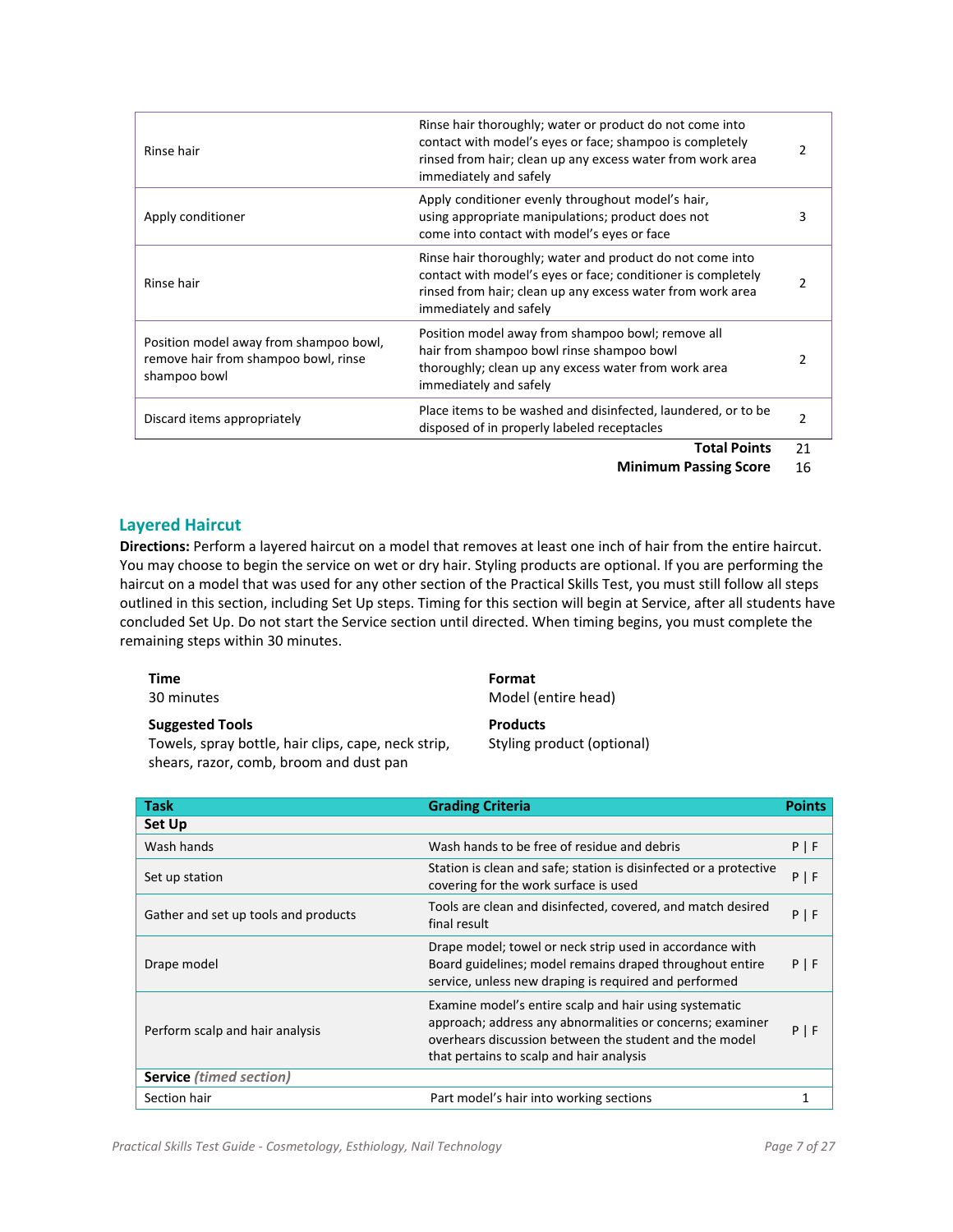| Rinse hair                                                                                     | Rinse hair thoroughly; water or product do not come into<br>contact with model's eyes or face; shampoo is completely<br>rinsed from hair; clean up any excess water from work area<br>immediately and safely      | 2  |
|------------------------------------------------------------------------------------------------|-------------------------------------------------------------------------------------------------------------------------------------------------------------------------------------------------------------------|----|
| Apply conditioner                                                                              | Apply conditioner evenly throughout model's hair,<br>using appropriate manipulations; product does not<br>come into contact with model's eyes or face                                                             | 3  |
| Rinse hair                                                                                     | Rinse hair thoroughly; water and product do not come into<br>contact with model's eyes or face; conditioner is completely<br>rinsed from hair; clean up any excess water from work area<br>immediately and safely | 2  |
| Position model away from shampoo bowl,<br>remove hair from shampoo bowl, rinse<br>shampoo bowl | Position model away from shampoo bowl; remove all<br>hair from shampoo bowl rinse shampoo bowl<br>thoroughly; clean up any excess water from work area<br>immediately and safely                                  | 2  |
| Discard items appropriately                                                                    | Place items to be washed and disinfected, laundered, or to be<br>disposed of in properly labeled receptacles                                                                                                      | 2  |
|                                                                                                | <b>Total Points</b>                                                                                                                                                                                               | 21 |

#### **Layered Haircut**

**Directions:** Perform a layered haircut on a model that removes at least one inch of hair from the entire haircut. You may choose to begin the service on wet or dry hair. Styling products are optional. If you are performing the haircut on a model that was used for any other section of the Practical Skills Test, you must still follow all steps outlined in this section, including Set Up steps. Timing for this section will begin at Service, after all students have concluded Set Up. Do not start the Service section until directed. When timing begins, you must complete the remaining steps within 30 minutes.

| Time<br>30 minutes                                  | Format<br>Model (entire head) |
|-----------------------------------------------------|-------------------------------|
| <b>Suggested Tools</b>                              | <b>Products</b>               |
| Towels, spray bottle, hair clips, cape, neck strip, | Styling product (optional)    |
| shears, razor, comb, broom and dust pan             |                               |

| <b>Task</b>                          | <b>Grading Criteria</b>                                                                                                                                                                                                   | <b>Points</b> |
|--------------------------------------|---------------------------------------------------------------------------------------------------------------------------------------------------------------------------------------------------------------------------|---------------|
| Set Up                               |                                                                                                                                                                                                                           |               |
| Wash hands                           | Wash hands to be free of residue and debris                                                                                                                                                                               | $P$   F       |
| Set up station                       | Station is clean and safe; station is disinfected or a protective<br>covering for the work surface is used                                                                                                                | $P$   F       |
| Gather and set up tools and products | Tools are clean and disinfected, covered, and match desired<br>final result                                                                                                                                               | $P$   F       |
| Drape model                          | Drape model; towel or neck strip used in accordance with<br>Board guidelines; model remains draped throughout entire<br>service, unless new draping is required and performed                                             | $P$   F       |
| Perform scalp and hair analysis      | Examine model's entire scalp and hair using systematic<br>approach; address any abnormalities or concerns; examiner<br>overhears discussion between the student and the model<br>that pertains to scalp and hair analysis | $P$   F       |
| <b>Service</b> (timed section)       |                                                                                                                                                                                                                           |               |
| Section hair                         | Part model's hair into working sections                                                                                                                                                                                   |               |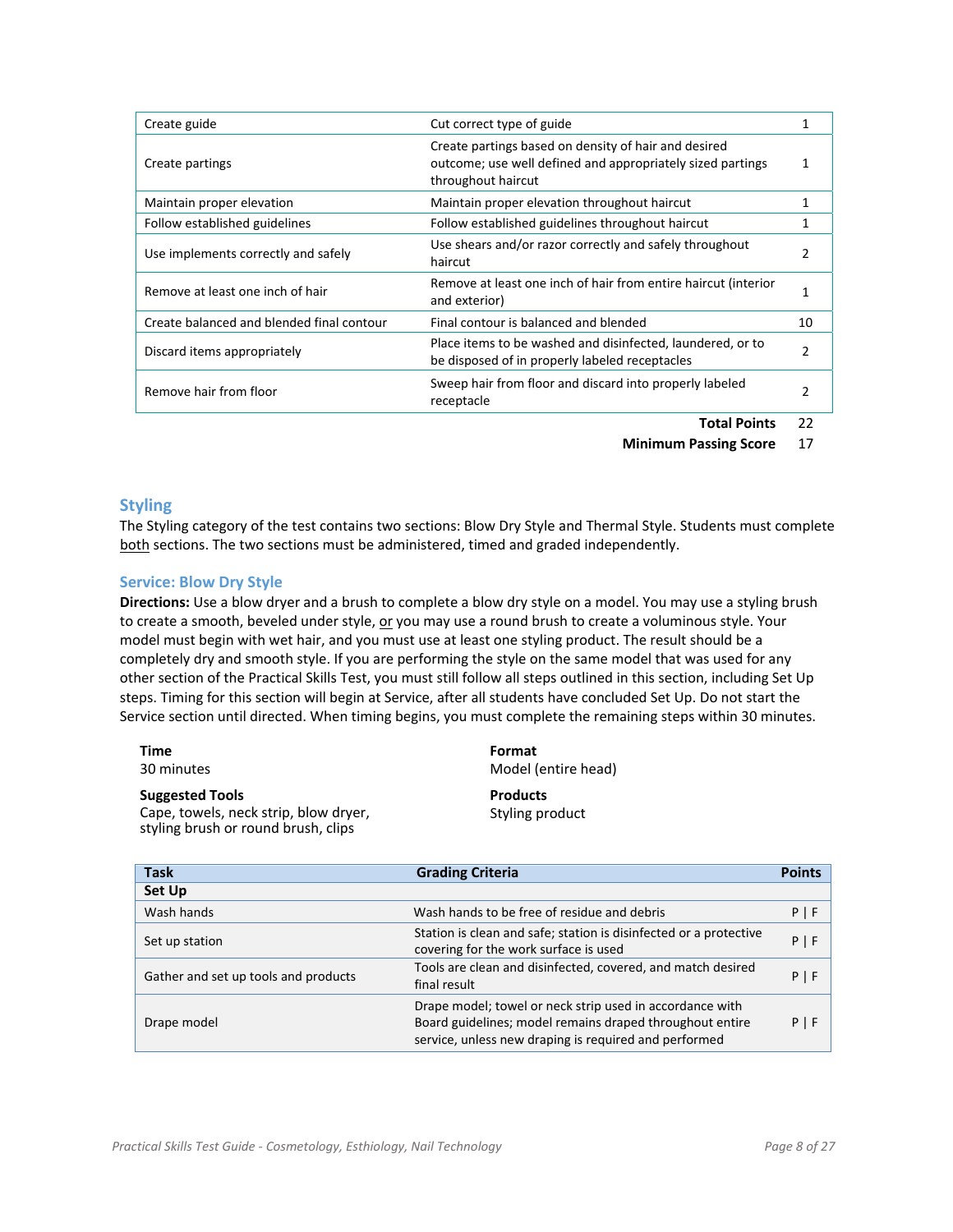| Create guide                              | Cut correct type of guide                                                                                                                |                |
|-------------------------------------------|------------------------------------------------------------------------------------------------------------------------------------------|----------------|
| Create partings                           | Create partings based on density of hair and desired<br>outcome; use well defined and appropriately sized partings<br>throughout haircut |                |
| Maintain proper elevation                 | Maintain proper elevation throughout haircut                                                                                             |                |
| Follow established guidelines             | Follow established guidelines throughout haircut                                                                                         |                |
| Use implements correctly and safely       | Use shears and/or razor correctly and safely throughout<br>haircut                                                                       | 2              |
| Remove at least one inch of hair          | Remove at least one inch of hair from entire haircut (interior<br>and exterior)                                                          |                |
| Create balanced and blended final contour | Final contour is balanced and blended                                                                                                    | 10             |
| Discard items appropriately               | Place items to be washed and disinfected, laundered, or to<br>be disposed of in properly labeled receptacles                             | $\mathfrak{p}$ |
| Remove hair from floor                    | Sweep hair from floor and discard into properly labeled<br>receptacle                                                                    | 2              |
|                                           | .                                                                                                                                        |                |

**Total Points** 22

**Minimum Passing Score** 17

#### **Styling**

The Styling category of the test contains two sections: Blow Dry Style and Thermal Style. Students must complete both sections. The two sections must be administered, timed and graded independently.

#### **Service: Blow Dry Style**

**Directions:** Use a blow dryer and a brush to complete a blow dry style on a model. You may use a styling brush to create a smooth, beveled under style, or you may use a round brush to create a voluminous style. Your model must begin with wet hair, and you must use at least one styling product. The result should be a completely dry and smooth style. If you are performing the style on the same model that was used for any other section of the Practical Skills Test, you must still follow all steps outlined in this section, including Set Up steps. Timing for this section will begin at Service, after all students have concluded Set Up. Do not start the Service section until directed. When timing begins, you must complete the remaining steps within 30 minutes.

| Time<br>30 minutes                                                           | Format<br>Model (entire head) |
|------------------------------------------------------------------------------|-------------------------------|
| <b>Suggested Tools</b>                                                       | <b>Products</b>               |
| Cape, towels, neck strip, blow dryer,<br>styling brush or round brush, clips | Styling product               |

| <b>Task</b>                          | <b>Grading Criteria</b>                                                                                                                                                       | <b>Points</b> |
|--------------------------------------|-------------------------------------------------------------------------------------------------------------------------------------------------------------------------------|---------------|
| Set Up                               |                                                                                                                                                                               |               |
| Wash hands                           | Wash hands to be free of residue and debris                                                                                                                                   | $P$   F       |
| Set up station                       | Station is clean and safe; station is disinfected or a protective<br>covering for the work surface is used                                                                    | $P$   F       |
| Gather and set up tools and products | Tools are clean and disinfected, covered, and match desired<br>final result                                                                                                   | $P$   F       |
| Drape model                          | Drape model; towel or neck strip used in accordance with<br>Board guidelines; model remains draped throughout entire<br>service, unless new draping is required and performed | $P$   F       |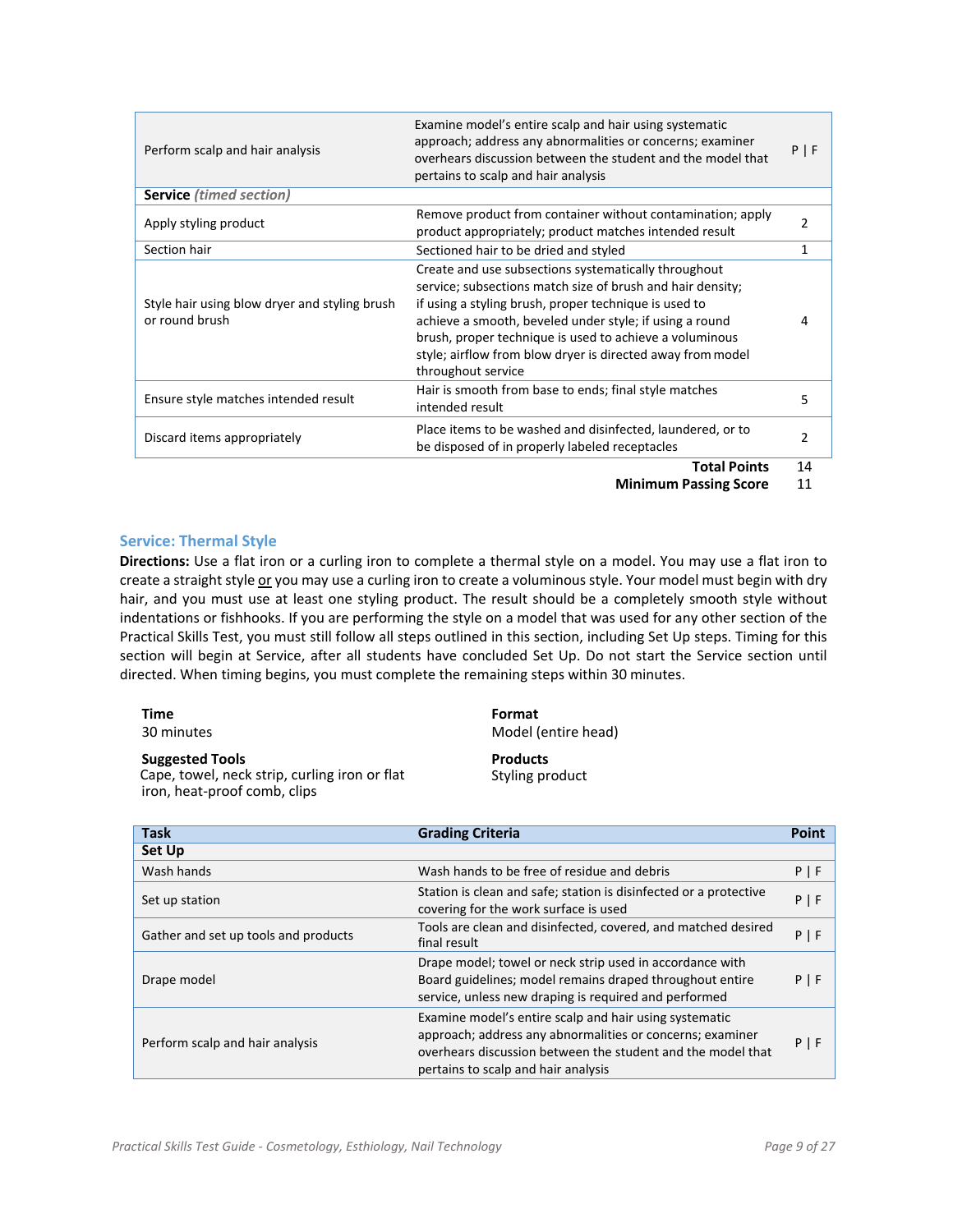| Perform scalp and hair analysis                                 | Examine model's entire scalp and hair using systematic<br>approach; address any abnormalities or concerns; examiner<br>overhears discussion between the student and the model that<br>pertains to scalp and hair analysis                                                                                                                                                             | $P$   F        |
|-----------------------------------------------------------------|---------------------------------------------------------------------------------------------------------------------------------------------------------------------------------------------------------------------------------------------------------------------------------------------------------------------------------------------------------------------------------------|----------------|
| <b>Service</b> (timed section)                                  |                                                                                                                                                                                                                                                                                                                                                                                       |                |
| Apply styling product                                           | Remove product from container without contamination; apply<br>product appropriately; product matches intended result                                                                                                                                                                                                                                                                  | $\overline{2}$ |
| Section hair                                                    | Sectioned hair to be dried and styled                                                                                                                                                                                                                                                                                                                                                 | 1              |
| Style hair using blow dryer and styling brush<br>or round brush | Create and use subsections systematically throughout<br>service; subsections match size of brush and hair density;<br>if using a styling brush, proper technique is used to<br>achieve a smooth, beveled under style; if using a round<br>brush, proper technique is used to achieve a voluminous<br>style; airflow from blow dryer is directed away from model<br>throughout service | 4              |
| Ensure style matches intended result                            | Hair is smooth from base to ends; final style matches<br>intended result                                                                                                                                                                                                                                                                                                              | 5              |
| Discard items appropriately                                     | Place items to be washed and disinfected, laundered, or to<br>be disposed of in properly labeled receptacles                                                                                                                                                                                                                                                                          | 2              |
|                                                                 | <b>Total Points</b>                                                                                                                                                                                                                                                                                                                                                                   | 14             |

**Total Points** 14 **Minimum Passing Score** 11

#### **Service: Thermal Style**

iron, heat‐proof comb, clips

**Directions:** Use a flat iron or a curling iron to complete a thermal style on a model. You may use a flat iron to create a straight style or you may use a curling iron to create a voluminous style. Your model must begin with dry hair, and you must use at least one styling product. The result should be a completely smooth style without indentations or fishhooks. If you are performing the style on a model that was used for any other section of the Practical Skills Test, you must still follow all steps outlined in this section, including Set Up steps. Timing for this section will begin at Service, after all students have concluded Set Up. Do not start the Service section until directed. When timing begins, you must complete the remaining steps within 30 minutes.

| Time                                          | Format              |
|-----------------------------------------------|---------------------|
| 30 minutes                                    | Model (entire head) |
| <b>Suggested Tools</b>                        | <b>Products</b>     |
| Cape, towel, neck strip, curling iron or flat | Styling product     |

| <b>Task</b>                          | <b>Grading Criteria</b>                                                                                                                                                                                                   | Point   |
|--------------------------------------|---------------------------------------------------------------------------------------------------------------------------------------------------------------------------------------------------------------------------|---------|
| Set Up                               |                                                                                                                                                                                                                           |         |
| Wash hands                           | Wash hands to be free of residue and debris                                                                                                                                                                               | $P$   F |
| Set up station                       | Station is clean and safe; station is disinfected or a protective<br>covering for the work surface is used                                                                                                                | $P$   F |
| Gather and set up tools and products | Tools are clean and disinfected, covered, and matched desired<br>final result                                                                                                                                             | P   F   |
| Drape model                          | Drape model; towel or neck strip used in accordance with<br>Board guidelines; model remains draped throughout entire<br>service, unless new draping is required and performed                                             | $P$   F |
| Perform scalp and hair analysis      | Examine model's entire scalp and hair using systematic<br>approach; address any abnormalities or concerns; examiner<br>overhears discussion between the student and the model that<br>pertains to scalp and hair analysis | $P$   F |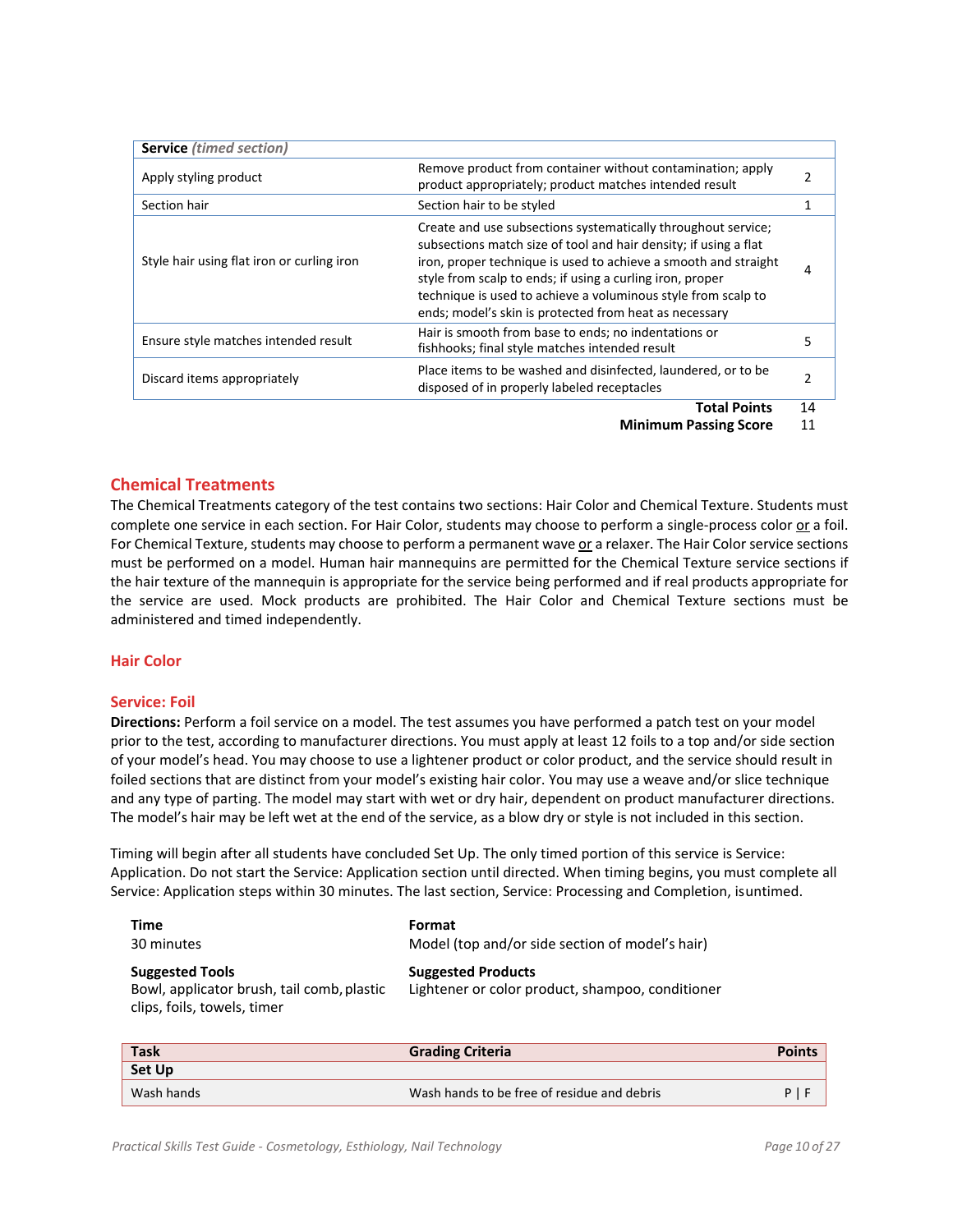| <b>Service</b> (timed section)             |                                                                                                                                                                                                                                                                                                                                                                                              |    |
|--------------------------------------------|----------------------------------------------------------------------------------------------------------------------------------------------------------------------------------------------------------------------------------------------------------------------------------------------------------------------------------------------------------------------------------------------|----|
| Apply styling product                      | Remove product from container without contamination; apply<br>product appropriately; product matches intended result                                                                                                                                                                                                                                                                         | 2  |
| Section hair                               | Section hair to be styled                                                                                                                                                                                                                                                                                                                                                                    |    |
| Style hair using flat iron or curling iron | Create and use subsections systematically throughout service;<br>subsections match size of tool and hair density; if using a flat<br>iron, proper technique is used to achieve a smooth and straight<br>style from scalp to ends; if using a curling iron, proper<br>technique is used to achieve a voluminous style from scalp to<br>ends; model's skin is protected from heat as necessary | 4  |
| Ensure style matches intended result       | Hair is smooth from base to ends; no indentations or<br>fishhooks; final style matches intended result                                                                                                                                                                                                                                                                                       |    |
| Discard items appropriately                | Place items to be washed and disinfected, laundered, or to be<br>disposed of in properly labeled receptacles                                                                                                                                                                                                                                                                                 |    |
|                                            | <b>Total Points</b>                                                                                                                                                                                                                                                                                                                                                                          | 14 |

#### **Chemical Treatments**

The Chemical Treatments category of the test contains two sections: Hair Color and Chemical Texture. Students must complete one service in each section. For Hair Color, students may choose to perform a single‐process color or a foil. For Chemical Texture, students may choose to perform a permanent wave or a relaxer. The Hair Color service sections must be performed on a model. Human hair mannequins are permitted for the Chemical Texture service sections if the hair texture of the mannequin is appropriate for the service being performed and if real products appropriate for the service are used. Mock products are prohibited. The Hair Color and Chemical Texture sections must be administered and timed independently.

#### **Hair Color**

#### **Service: Foil**

**Directions:** Perform a foil service on a model. The test assumes you have performed a patch test on your model prior to the test, according to manufacturer directions. You must apply at least 12 foils to a top and/or side section of your model's head. You may choose to use a lightener product or color product, and the service should result in foiled sections that are distinct from your model's existing hair color. You may use a weave and/or slice technique and any type of parting. The model may start with wet or dry hair, dependent on product manufacturer directions. The model's hair may be left wet at the end of the service, as a blow dry or style is not included in this section.

Timing will begin after all students have concluded Set Up. The only timed portion of this service is Service: Application. Do not start the Service: Application section until directed. When timing begins, you must complete all Service: Application steps within 30 minutes. The last section, Service: Processing and Completion, isuntimed.

| Time                                                                                                | Format                                                                        |
|-----------------------------------------------------------------------------------------------------|-------------------------------------------------------------------------------|
| 30 minutes                                                                                          | Model (top and/or side section of model's hair)                               |
| <b>Suggested Tools</b><br>Bowl, applicator brush, tail comb, plastic<br>clips, foils, towels, timer | <b>Suggested Products</b><br>Lightener or color product, shampoo, conditioner |

| <b>Task</b>   | <b>Grading Criteria</b>                     | <b>Points</b> |
|---------------|---------------------------------------------|---------------|
| <b>Set Up</b> |                                             |               |
| Wash hands    | Wash hands to be free of residue and debris |               |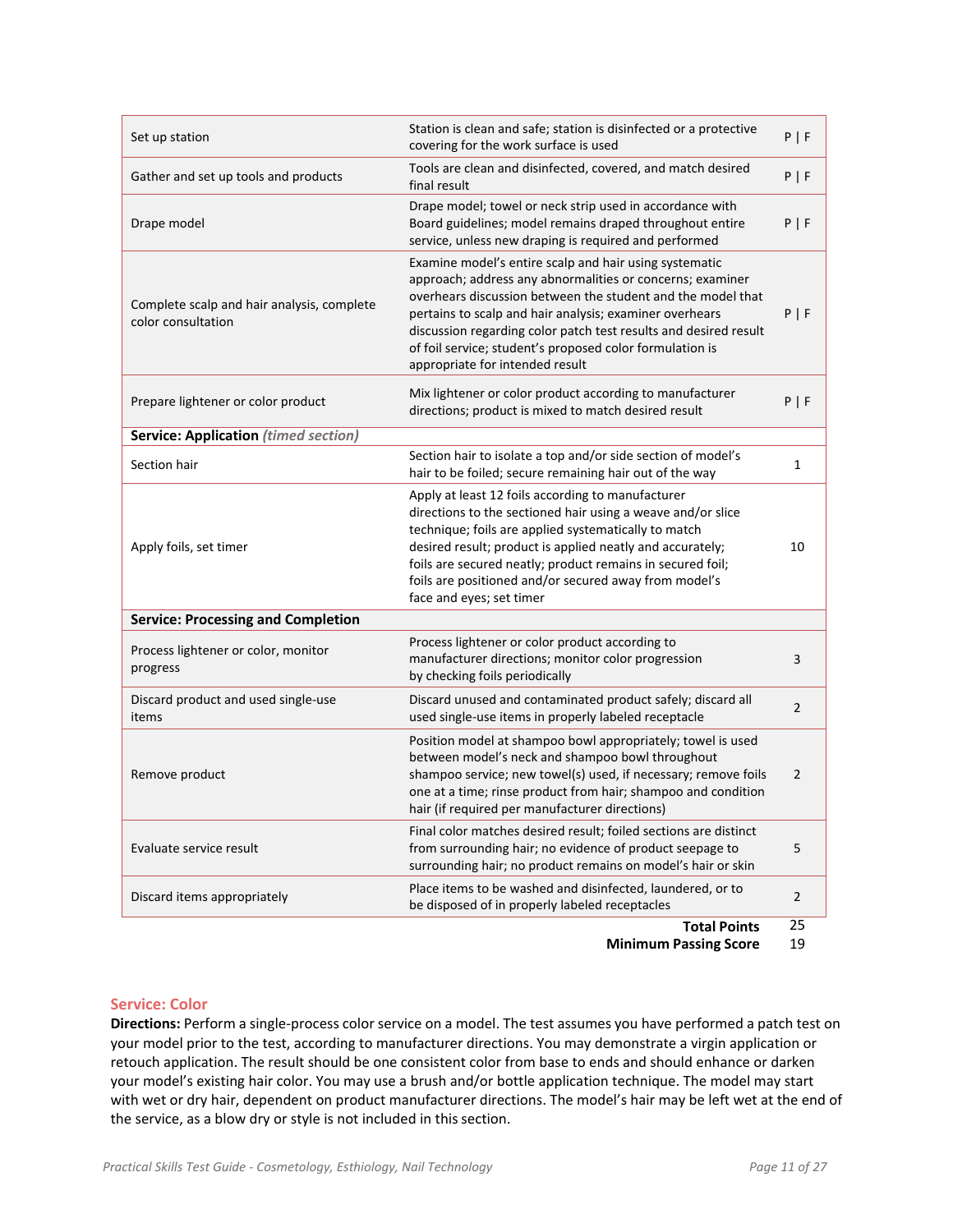| Set up station                                                   | Station is clean and safe; station is disinfected or a protective<br>covering for the work surface is used                                                                                                                                                                                                                                                                                                       | P   F          |
|------------------------------------------------------------------|------------------------------------------------------------------------------------------------------------------------------------------------------------------------------------------------------------------------------------------------------------------------------------------------------------------------------------------------------------------------------------------------------------------|----------------|
| Gather and set up tools and products                             | Tools are clean and disinfected, covered, and match desired<br>final result                                                                                                                                                                                                                                                                                                                                      | P   F          |
| Drape model                                                      | Drape model; towel or neck strip used in accordance with<br>Board guidelines; model remains draped throughout entire<br>service, unless new draping is required and performed                                                                                                                                                                                                                                    | P   F          |
| Complete scalp and hair analysis, complete<br>color consultation | Examine model's entire scalp and hair using systematic<br>approach; address any abnormalities or concerns; examiner<br>overhears discussion between the student and the model that<br>pertains to scalp and hair analysis; examiner overhears<br>discussion regarding color patch test results and desired result<br>of foil service; student's proposed color formulation is<br>appropriate for intended result | P   F          |
| Prepare lightener or color product                               | Mix lightener or color product according to manufacturer<br>directions; product is mixed to match desired result                                                                                                                                                                                                                                                                                                 | P   F          |
| <b>Service: Application (timed section)</b>                      |                                                                                                                                                                                                                                                                                                                                                                                                                  |                |
| Section hair                                                     | Section hair to isolate a top and/or side section of model's<br>hair to be foiled; secure remaining hair out of the way                                                                                                                                                                                                                                                                                          | 1              |
| Apply foils, set timer                                           | Apply at least 12 foils according to manufacturer<br>directions to the sectioned hair using a weave and/or slice<br>technique; foils are applied systematically to match<br>desired result; product is applied neatly and accurately;<br>foils are secured neatly; product remains in secured foil;<br>foils are positioned and/or secured away from model's<br>face and eyes; set timer                         | 10             |
| <b>Service: Processing and Completion</b>                        |                                                                                                                                                                                                                                                                                                                                                                                                                  |                |
| Process lightener or color, monitor<br>progress                  | Process lightener or color product according to<br>manufacturer directions; monitor color progression<br>by checking foils periodically                                                                                                                                                                                                                                                                          | 3              |
| Discard product and used single-use<br>items                     | Discard unused and contaminated product safely; discard all<br>used single-use items in properly labeled receptacle                                                                                                                                                                                                                                                                                              | $\overline{2}$ |
| Remove product                                                   | Position model at shampoo bowl appropriately; towel is used<br>between model's neck and shampoo bowl throughout<br>shampoo service; new towel(s) used, if necessary; remove foils<br>one at a time; rinse product from hair; shampoo and condition<br>hair (if required per manufacturer directions)                                                                                                             | 2              |
| Evaluate service result                                          | Final color matches desired result; foiled sections are distinct<br>from surrounding hair; no evidence of product seepage to<br>surrounding hair; no product remains on model's hair or skin                                                                                                                                                                                                                     | 5              |
| Discard items appropriately                                      | Place items to be washed and disinfected, laundered, or to<br>be disposed of in properly labeled receptacles                                                                                                                                                                                                                                                                                                     | $\overline{2}$ |
|                                                                  | <b>Total Points</b>                                                                                                                                                                                                                                                                                                                                                                                              | 25             |

#### **Service: Color**

**Directions:** Perform a single‐process color service on a model. The test assumes you have performed a patch test on your model prior to the test, according to manufacturer directions. You may demonstrate a virgin application or retouch application. The result should be one consistent color from base to ends and should enhance or darken your model's existing hair color. You may use a brush and/or bottle application technique. The model may start with wet or dry hair, dependent on product manufacturer directions. The model's hair may be left wet at the end of the service, as a blow dry or style is not included in this section.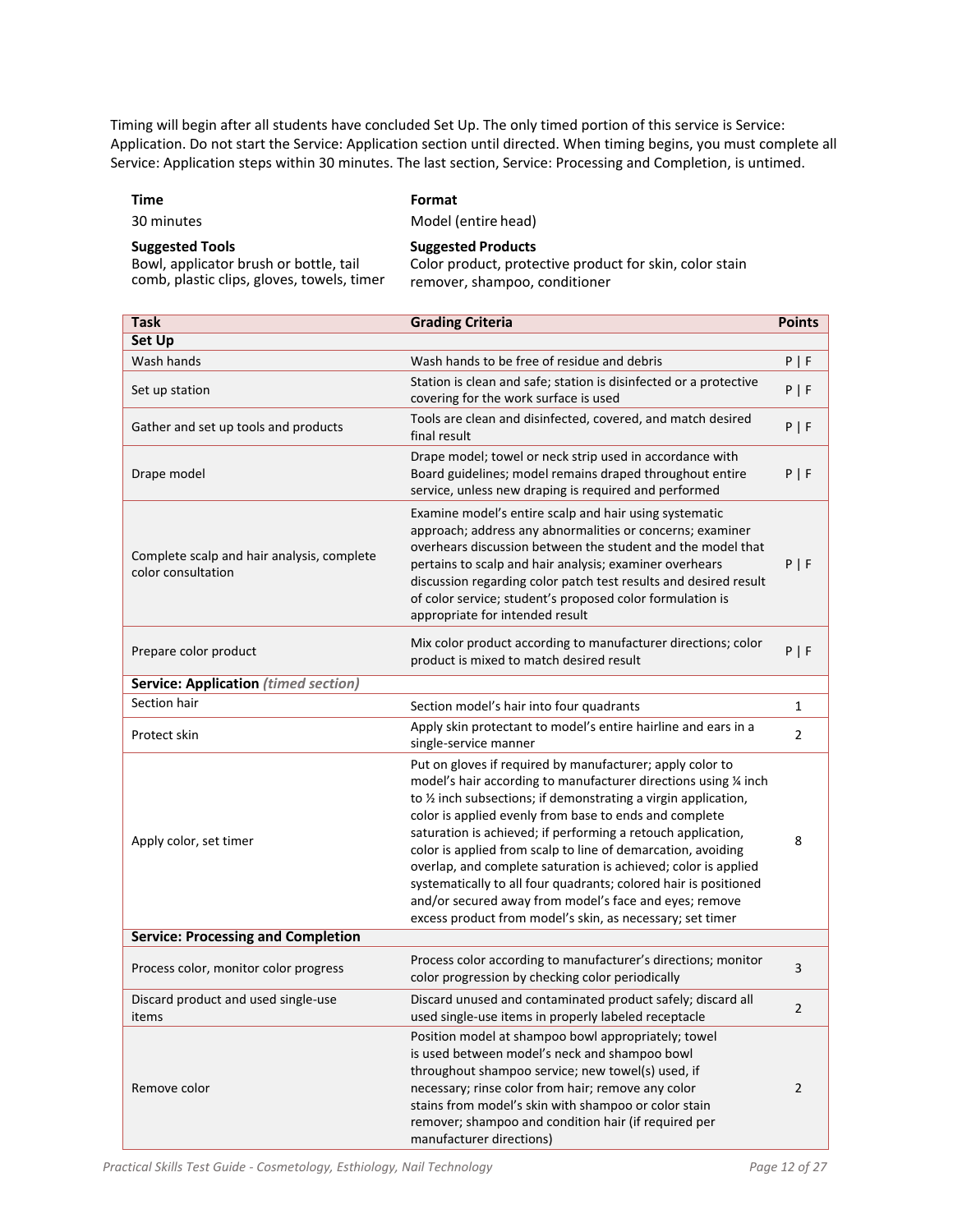Timing will begin after all students have concluded Set Up. The only timed portion of this service is Service: Application. Do not start the Service: Application section until directed. When timing begins, you must complete all Service: Application steps within 30 minutes. The last section, Service: Processing and Completion, is untimed.

#### **Time Format**

30 minutes Model (entire head)

#### **Suggested Tools Suggested Products** Bowl, applicator brush or bottle, tail

comb, plastic clips, gloves, towels, timer

Color product, protective product for skin, color stain remover, shampoo, conditioner

| <b>Task</b>                                                      | <b>Grading Criteria</b>                                                                                                                                                                                                                                                                                                                                                                                                                                                                                                                                                                                                                                 | <b>Points</b>  |
|------------------------------------------------------------------|---------------------------------------------------------------------------------------------------------------------------------------------------------------------------------------------------------------------------------------------------------------------------------------------------------------------------------------------------------------------------------------------------------------------------------------------------------------------------------------------------------------------------------------------------------------------------------------------------------------------------------------------------------|----------------|
| <b>Set Up</b>                                                    |                                                                                                                                                                                                                                                                                                                                                                                                                                                                                                                                                                                                                                                         |                |
| Wash hands                                                       | Wash hands to be free of residue and debris                                                                                                                                                                                                                                                                                                                                                                                                                                                                                                                                                                                                             | P   F          |
| Set up station                                                   | Station is clean and safe; station is disinfected or a protective<br>covering for the work surface is used                                                                                                                                                                                                                                                                                                                                                                                                                                                                                                                                              | P   F          |
| Gather and set up tools and products                             | Tools are clean and disinfected, covered, and match desired<br>final result                                                                                                                                                                                                                                                                                                                                                                                                                                                                                                                                                                             | P   F          |
| Drape model                                                      | Drape model; towel or neck strip used in accordance with<br>Board guidelines; model remains draped throughout entire<br>service, unless new draping is required and performed                                                                                                                                                                                                                                                                                                                                                                                                                                                                           | P   F          |
| Complete scalp and hair analysis, complete<br>color consultation | Examine model's entire scalp and hair using systematic<br>approach; address any abnormalities or concerns; examiner<br>overhears discussion between the student and the model that<br>pertains to scalp and hair analysis; examiner overhears<br>discussion regarding color patch test results and desired result<br>of color service; student's proposed color formulation is<br>appropriate for intended result                                                                                                                                                                                                                                       | P   F          |
| Prepare color product                                            | Mix color product according to manufacturer directions; color<br>product is mixed to match desired result                                                                                                                                                                                                                                                                                                                                                                                                                                                                                                                                               | P   F          |
| <b>Service: Application (timed section)</b>                      |                                                                                                                                                                                                                                                                                                                                                                                                                                                                                                                                                                                                                                                         |                |
| Section hair                                                     | Section model's hair into four quadrants                                                                                                                                                                                                                                                                                                                                                                                                                                                                                                                                                                                                                | $\mathbf{1}$   |
| Protect skin                                                     | Apply skin protectant to model's entire hairline and ears in a<br>single-service manner                                                                                                                                                                                                                                                                                                                                                                                                                                                                                                                                                                 | $\overline{2}$ |
| Apply color, set timer                                           | Put on gloves if required by manufacturer; apply color to<br>model's hair according to manufacturer directions using 1/4 inch<br>to 1/2 inch subsections; if demonstrating a virgin application,<br>color is applied evenly from base to ends and complete<br>saturation is achieved; if performing a retouch application,<br>color is applied from scalp to line of demarcation, avoiding<br>overlap, and complete saturation is achieved; color is applied<br>systematically to all four quadrants; colored hair is positioned<br>and/or secured away from model's face and eyes; remove<br>excess product from model's skin, as necessary; set timer | 8              |
| <b>Service: Processing and Completion</b>                        |                                                                                                                                                                                                                                                                                                                                                                                                                                                                                                                                                                                                                                                         |                |
| Process color, monitor color progress                            | Process color according to manufacturer's directions; monitor<br>color progression by checking color periodically                                                                                                                                                                                                                                                                                                                                                                                                                                                                                                                                       | 3              |
| Discard product and used single-use<br>items                     | Discard unused and contaminated product safely; discard all<br>used single-use items in properly labeled receptacle                                                                                                                                                                                                                                                                                                                                                                                                                                                                                                                                     | 2              |
| Remove color                                                     | Position model at shampoo bowl appropriately; towel<br>is used between model's neck and shampoo bowl<br>throughout shampoo service; new towel(s) used, if<br>necessary; rinse color from hair; remove any color<br>stains from model's skin with shampoo or color stain<br>remover; shampoo and condition hair (if required per<br>manufacturer directions)                                                                                                                                                                                                                                                                                             | $\overline{2}$ |

*Practical Skills Test Guide ‐ Cosmetology, Esthiology, Nail Technology Page 12 of 27*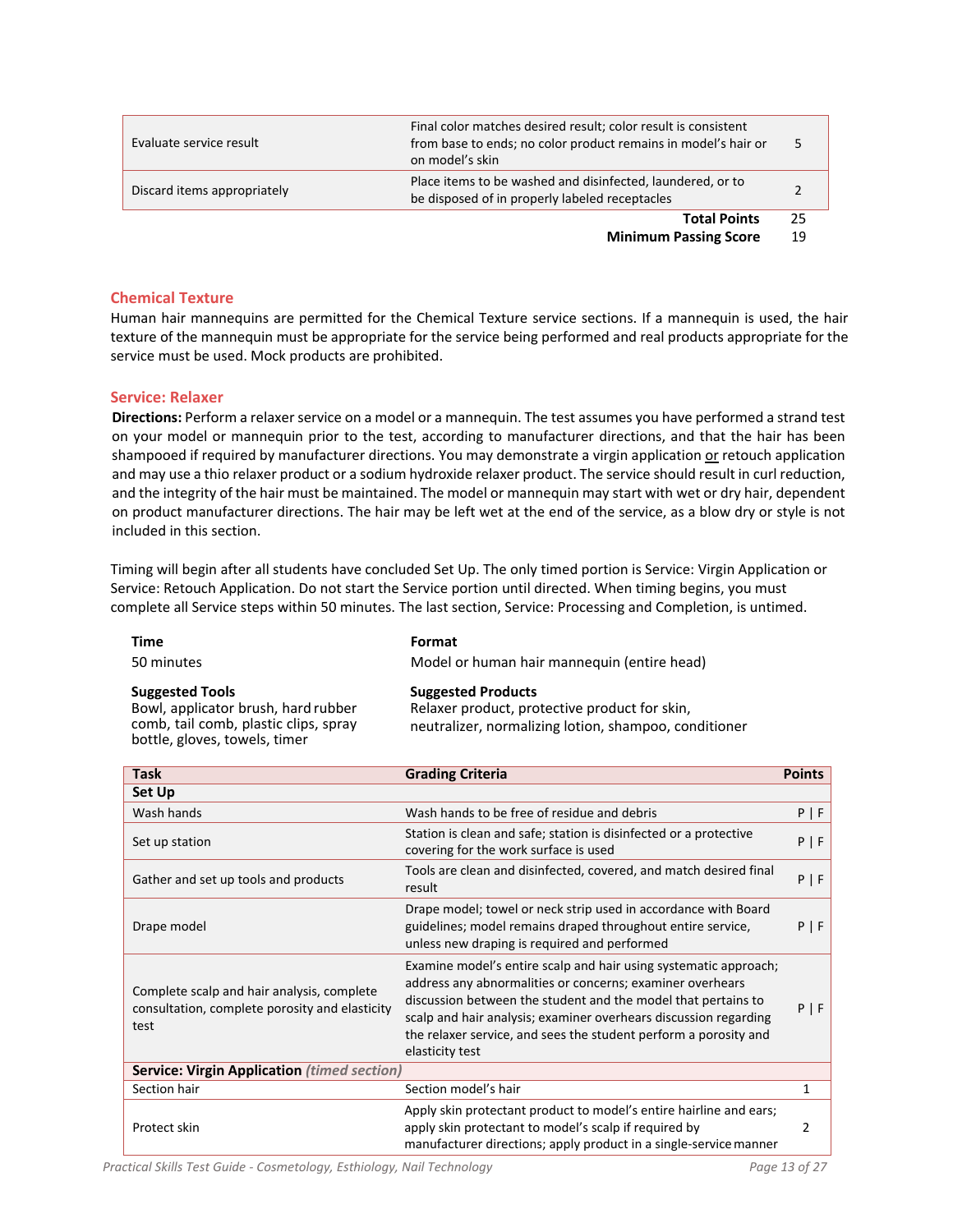| Evaluate service result     | Final color matches desired result; color result is consistent<br>from base to ends; no color product remains in model's hair or<br>on model's skin |        |
|-----------------------------|-----------------------------------------------------------------------------------------------------------------------------------------------------|--------|
| Discard items appropriately | Place items to be washed and disinfected, laundered, or to<br>be disposed of in properly labeled receptacles                                        |        |
|                             | <b>Total Points</b>                                                                                                                                 | 25     |
|                             |                                                                                                                                                     | $\sim$ |

#### **Chemical Texture**

Human hair mannequins are permitted for the Chemical Texture service sections. If a mannequin is used, the hair texture of the mannequin must be appropriate for the service being performed and real products appropriate for the service must be used. Mock products are prohibited.

#### **Service: Relaxer**

**Directions:** Perform a relaxer service on a model or a mannequin. The test assumes you have performed a strand test on your model or mannequin prior to the test, according to manufacturer directions, and that the hair has been shampooed if required by manufacturer directions. You may demonstrate a virgin application or retouch application and may use a thio relaxer product or a sodium hydroxide relaxer product. The service should result in curl reduction, and the integrity of the hair must be maintained. The model or mannequin may start with wet or dry hair, dependent on product manufacturer directions. The hair may be left wet at the end of the service, as a blow dry or style is not included in this section.

Timing will begin after all students have concluded Set Up. The only timed portion is Service: Virgin Application or Service: Retouch Application. Do not start the Service portion until directed. When timing begins, you must complete all Service steps within 50 minutes. The last section, Service: Processing and Completion, is untimed.

| <b>Time</b>                                                                                                                             | Format                                                                                                                              |
|-----------------------------------------------------------------------------------------------------------------------------------------|-------------------------------------------------------------------------------------------------------------------------------------|
| 50 minutes                                                                                                                              | Model or human hair mannequin (entire head)                                                                                         |
| <b>Suggested Tools</b><br>Bowl, applicator brush, hard rubber<br>comb, tail comb, plastic clips, spray<br>bottle, gloves, towels, timer | <b>Suggested Products</b><br>Relaxer product, protective product for skin,<br>neutralizer, normalizing lotion, shampoo, conditioner |

| <b>Task</b>                                                                                          | <b>Grading Criteria</b>                                                                                                                                                                                                                                                                                                                                   | <b>Points</b> |
|------------------------------------------------------------------------------------------------------|-----------------------------------------------------------------------------------------------------------------------------------------------------------------------------------------------------------------------------------------------------------------------------------------------------------------------------------------------------------|---------------|
| Set Up                                                                                               |                                                                                                                                                                                                                                                                                                                                                           |               |
| Wash hands                                                                                           | Wash hands to be free of residue and debris                                                                                                                                                                                                                                                                                                               | $P$   F       |
| Set up station                                                                                       | Station is clean and safe; station is disinfected or a protective<br>covering for the work surface is used                                                                                                                                                                                                                                                | $P$   F       |
| Gather and set up tools and products                                                                 | Tools are clean and disinfected, covered, and match desired final<br>result                                                                                                                                                                                                                                                                               | $P$   F       |
| Drape model                                                                                          | Drape model; towel or neck strip used in accordance with Board<br>guidelines; model remains draped throughout entire service,<br>unless new draping is required and performed                                                                                                                                                                             | $P$   F       |
| Complete scalp and hair analysis, complete<br>consultation, complete porosity and elasticity<br>test | Examine model's entire scalp and hair using systematic approach;<br>address any abnormalities or concerns; examiner overhears<br>discussion between the student and the model that pertains to<br>scalp and hair analysis; examiner overhears discussion regarding<br>the relaxer service, and sees the student perform a porosity and<br>elasticity test | $P$   F       |
| <b>Service: Virgin Application (timed section)</b>                                                   |                                                                                                                                                                                                                                                                                                                                                           |               |
| Section hair                                                                                         | Section model's hair                                                                                                                                                                                                                                                                                                                                      | 1             |
| Protect skin                                                                                         | Apply skin protectant product to model's entire hairline and ears;<br>apply skin protectant to model's scalp if required by<br>manufacturer directions; apply product in a single-service manner                                                                                                                                                          | 2             |

*Practical Skills Test Guide ‐ Cosmetology, Esthiology, Nail Technology Page 13 of 27*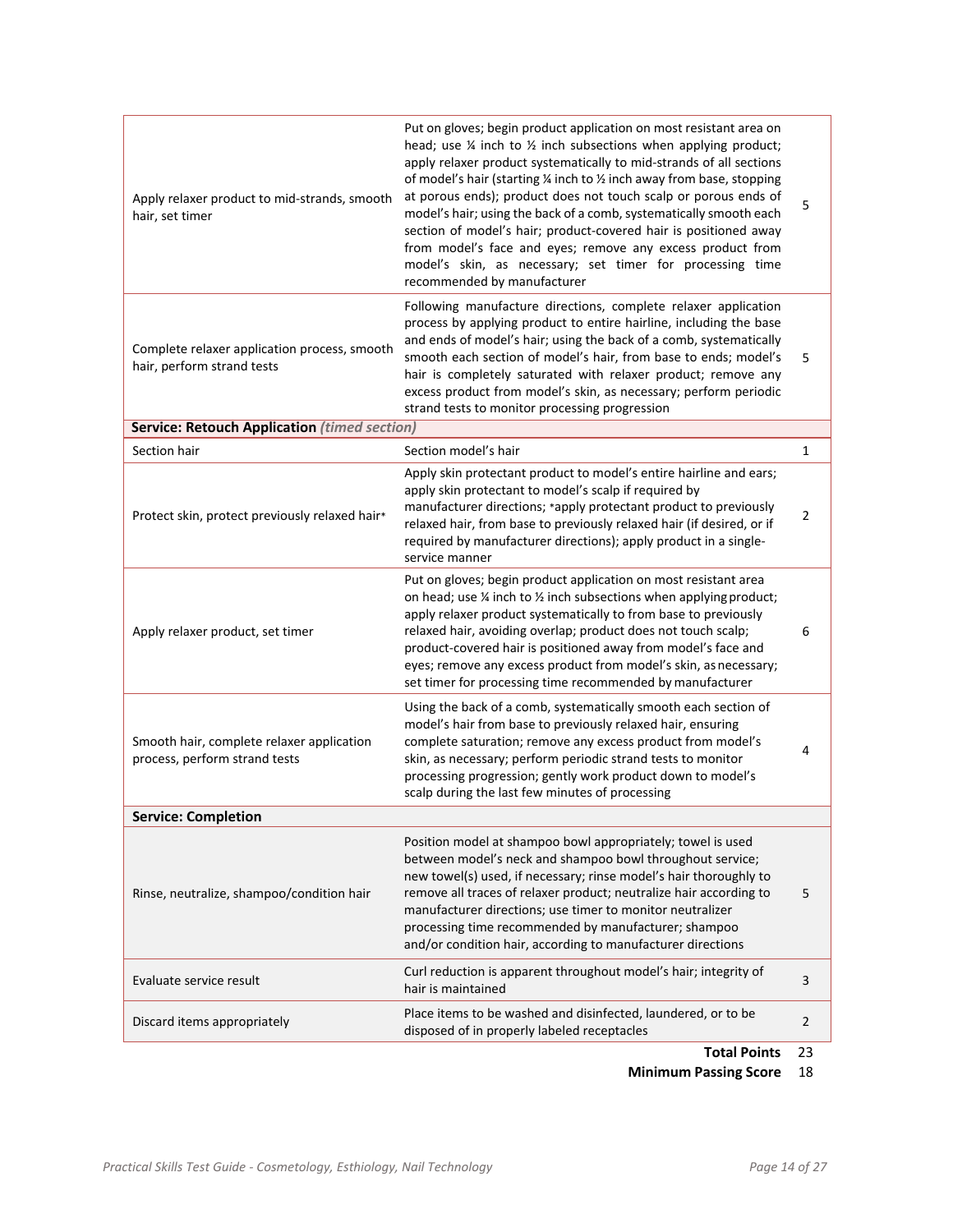| Apply relaxer product to mid-strands, smooth<br>hair, set timer            | Put on gloves; begin product application on most resistant area on<br>head; use $\frac{1}{4}$ inch to $\frac{1}{2}$ inch subsections when applying product;<br>apply relaxer product systematically to mid-strands of all sections<br>of model's hair (starting 1/4 inch to 1/2 inch away from base, stopping<br>at porous ends); product does not touch scalp or porous ends of<br>model's hair; using the back of a comb, systematically smooth each<br>section of model's hair; product-covered hair is positioned away<br>from model's face and eyes; remove any excess product from<br>model's skin, as necessary; set timer for processing time<br>recommended by manufacturer | 5              |
|----------------------------------------------------------------------------|--------------------------------------------------------------------------------------------------------------------------------------------------------------------------------------------------------------------------------------------------------------------------------------------------------------------------------------------------------------------------------------------------------------------------------------------------------------------------------------------------------------------------------------------------------------------------------------------------------------------------------------------------------------------------------------|----------------|
| Complete relaxer application process, smooth<br>hair, perform strand tests | Following manufacture directions, complete relaxer application<br>process by applying product to entire hairline, including the base<br>and ends of model's hair; using the back of a comb, systematically<br>smooth each section of model's hair, from base to ends; model's<br>hair is completely saturated with relaxer product; remove any<br>excess product from model's skin, as necessary; perform periodic<br>strand tests to monitor processing progression                                                                                                                                                                                                                 | 5              |
| <b>Service: Retouch Application (timed section)</b>                        |                                                                                                                                                                                                                                                                                                                                                                                                                                                                                                                                                                                                                                                                                      |                |
| Section hair                                                               | Section model's hair                                                                                                                                                                                                                                                                                                                                                                                                                                                                                                                                                                                                                                                                 | 1              |
| Protect skin, protect previously relaxed hair*                             | Apply skin protectant product to model's entire hairline and ears;<br>apply skin protectant to model's scalp if required by<br>manufacturer directions; *apply protectant product to previously<br>relaxed hair, from base to previously relaxed hair (if desired, or if<br>required by manufacturer directions); apply product in a single-<br>service manner                                                                                                                                                                                                                                                                                                                       | $\overline{2}$ |
| Apply relaxer product, set timer                                           | Put on gloves; begin product application on most resistant area<br>on head; use $\frac{1}{4}$ inch to $\frac{1}{2}$ inch subsections when applying product;<br>apply relaxer product systematically to from base to previously<br>relaxed hair, avoiding overlap; product does not touch scalp;<br>product-covered hair is positioned away from model's face and<br>eyes; remove any excess product from model's skin, as necessary;<br>set timer for processing time recommended by manufacturer                                                                                                                                                                                    | 6              |
| Smooth hair, complete relaxer application<br>process, perform strand tests | Using the back of a comb, systematically smooth each section of<br>model's hair from base to previously relaxed hair, ensuring<br>complete saturation; remove any excess product from model's<br>skin, as necessary; perform periodic strand tests to monitor<br>processing progression; gently work product down to model's<br>scalp during the last few minutes of processing                                                                                                                                                                                                                                                                                                      | 4              |
| <b>Service: Completion</b>                                                 |                                                                                                                                                                                                                                                                                                                                                                                                                                                                                                                                                                                                                                                                                      |                |
| Rinse, neutralize, shampoo/condition hair                                  | Position model at shampoo bowl appropriately; towel is used<br>between model's neck and shampoo bowl throughout service;<br>new towel(s) used, if necessary; rinse model's hair thoroughly to<br>remove all traces of relaxer product; neutralize hair according to<br>manufacturer directions; use timer to monitor neutralizer<br>processing time recommended by manufacturer; shampoo<br>and/or condition hair, according to manufacturer directions                                                                                                                                                                                                                              | 5              |
| Evaluate service result                                                    | Curl reduction is apparent throughout model's hair; integrity of<br>hair is maintained                                                                                                                                                                                                                                                                                                                                                                                                                                                                                                                                                                                               | 3              |
| Discard items appropriately                                                | Place items to be washed and disinfected, laundered, or to be<br>disposed of in properly labeled receptacles                                                                                                                                                                                                                                                                                                                                                                                                                                                                                                                                                                         | $\mathbf 2$    |
|                                                                            | Total Doints                                                                                                                                                                                                                                                                                                                                                                                                                                                                                                                                                                                                                                                                         | วว             |

**Total Points** 23

**Minimum Passing Score** 18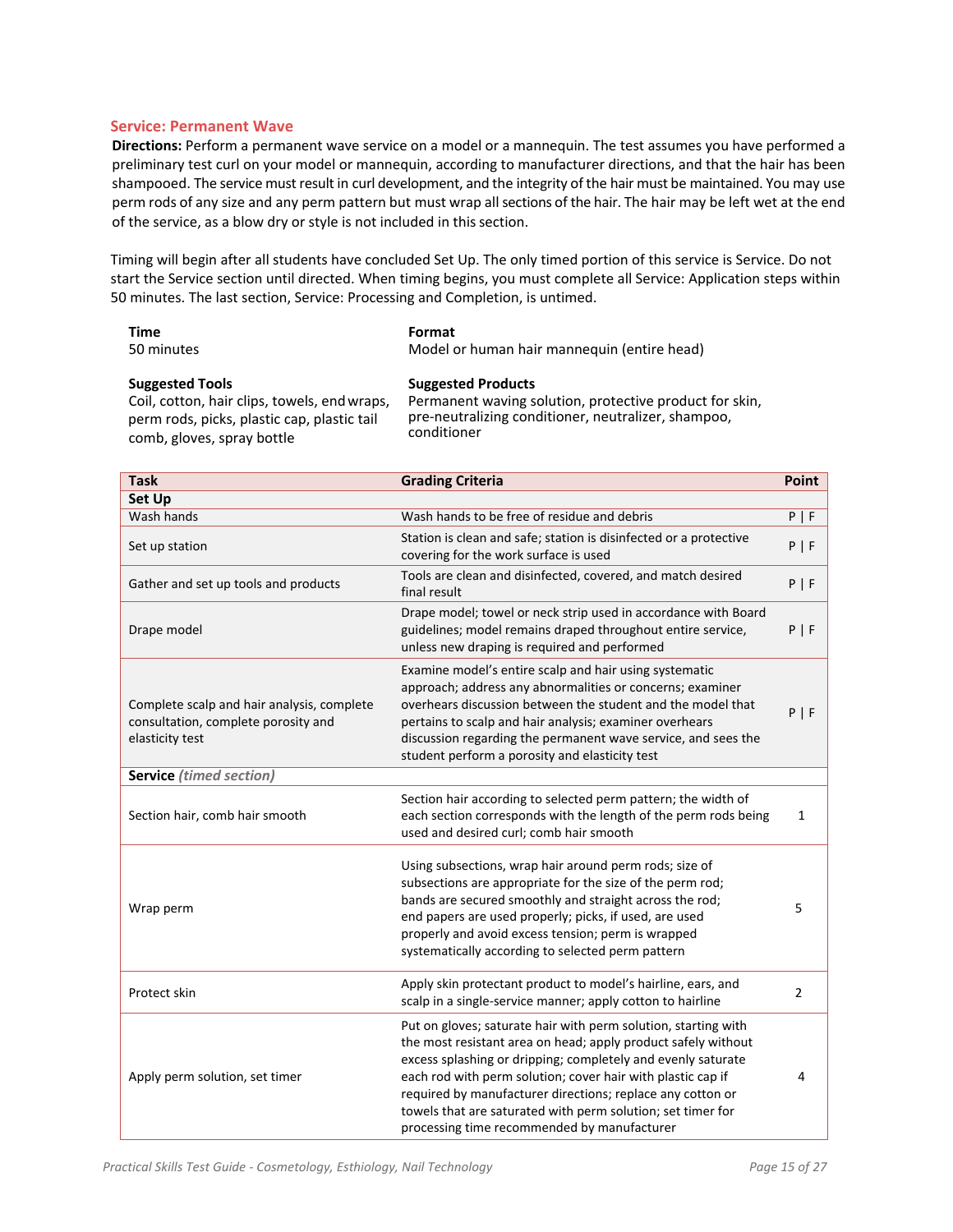#### **Service: Permanent Wave**

**Directions:** Perform a permanent wave service on a model or a mannequin. The test assumes you have performed a preliminary test curl on your model or mannequin, according to manufacturer directions, and that the hair has been shampooed. The service must result in curl development, and the integrity of the hair must be maintained. You may use perm rods of any size and any perm pattern but must wrap allsections of the hair. The hair may be left wet at the end of the service, as a blow dry or style is not included in this section.

Timing will begin after all students have concluded Set Up. The only timed portion of this service is Service. Do not start the Service section until directed. When timing begins, you must complete all Service: Application steps within 50 minutes. The last section, Service: Processing and Completion, is untimed.

| Time                                         | Format                                                  |
|----------------------------------------------|---------------------------------------------------------|
| 50 minutes                                   | Model or human hair mannequin (entire head)             |
| <b>Suggested Tools</b>                       | <b>Suggested Products</b>                               |
| Coil, cotton, hair clips, towels, end wraps, | Permanent waving solution, protective product for skin, |
| perm rods, picks, plastic cap, plastic tail  | pre-neutralizing conditioner, neutralizer, shampoo,     |
| comb, gloves, spray bottle                   | conditioner                                             |

| <b>Task</b>                                                                                          | <b>Grading Criteria</b>                                                                                                                                                                                                                                                                                                                                                                                                                    | Point          |
|------------------------------------------------------------------------------------------------------|--------------------------------------------------------------------------------------------------------------------------------------------------------------------------------------------------------------------------------------------------------------------------------------------------------------------------------------------------------------------------------------------------------------------------------------------|----------------|
| Set Up                                                                                               |                                                                                                                                                                                                                                                                                                                                                                                                                                            |                |
| Wash hands                                                                                           | Wash hands to be free of residue and debris                                                                                                                                                                                                                                                                                                                                                                                                | $P$   F        |
| Set up station                                                                                       | Station is clean and safe; station is disinfected or a protective<br>covering for the work surface is used                                                                                                                                                                                                                                                                                                                                 | P   F          |
| Gather and set up tools and products                                                                 | Tools are clean and disinfected, covered, and match desired<br>final result                                                                                                                                                                                                                                                                                                                                                                | P   F          |
| Drape model                                                                                          | Drape model; towel or neck strip used in accordance with Board<br>guidelines; model remains draped throughout entire service,<br>unless new draping is required and performed                                                                                                                                                                                                                                                              | P   F          |
| Complete scalp and hair analysis, complete<br>consultation, complete porosity and<br>elasticity test | Examine model's entire scalp and hair using systematic<br>approach; address any abnormalities or concerns; examiner<br>overhears discussion between the student and the model that<br>pertains to scalp and hair analysis; examiner overhears<br>discussion regarding the permanent wave service, and sees the<br>student perform a porosity and elasticity test                                                                           | P   F          |
| <b>Service</b> (timed section)                                                                       |                                                                                                                                                                                                                                                                                                                                                                                                                                            |                |
| Section hair, comb hair smooth                                                                       | Section hair according to selected perm pattern; the width of<br>each section corresponds with the length of the perm rods being<br>used and desired curl; comb hair smooth                                                                                                                                                                                                                                                                | 1              |
| Wrap perm                                                                                            | Using subsections, wrap hair around perm rods; size of<br>subsections are appropriate for the size of the perm rod;<br>bands are secured smoothly and straight across the rod;<br>end papers are used properly; picks, if used, are used<br>properly and avoid excess tension; perm is wrapped<br>systematically according to selected perm pattern                                                                                        | 5              |
| Protect skin                                                                                         | Apply skin protectant product to model's hairline, ears, and<br>scalp in a single-service manner; apply cotton to hairline                                                                                                                                                                                                                                                                                                                 | $\overline{2}$ |
| Apply perm solution, set timer                                                                       | Put on gloves; saturate hair with perm solution, starting with<br>the most resistant area on head; apply product safely without<br>excess splashing or dripping; completely and evenly saturate<br>each rod with perm solution; cover hair with plastic cap if<br>required by manufacturer directions; replace any cotton or<br>towels that are saturated with perm solution; set timer for<br>processing time recommended by manufacturer | 4              |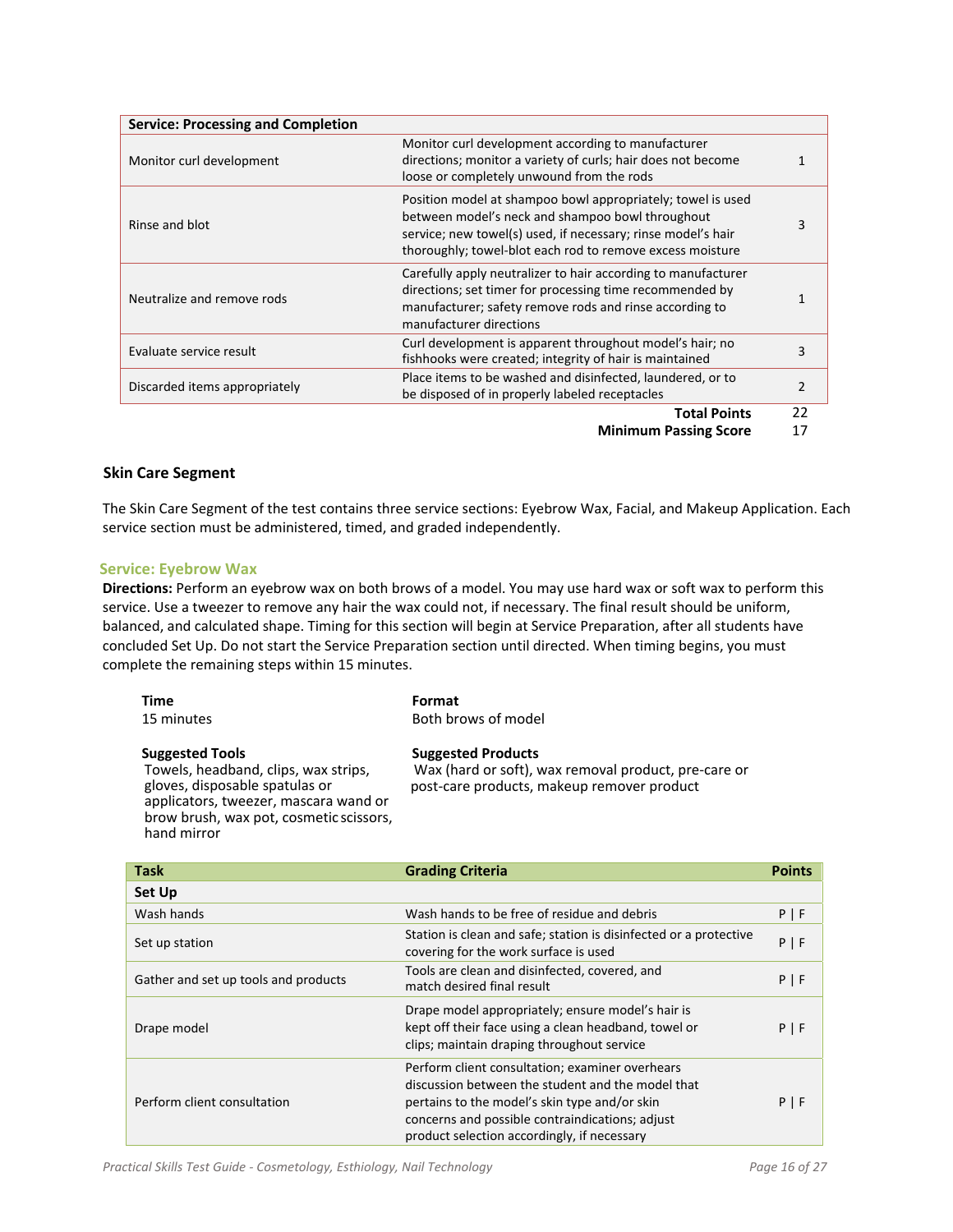| <b>Service: Processing and Completion</b> |                                                                                                                                                                                                                                              |    |
|-------------------------------------------|----------------------------------------------------------------------------------------------------------------------------------------------------------------------------------------------------------------------------------------------|----|
| Monitor curl development                  | Monitor curl development according to manufacturer<br>directions; monitor a variety of curls; hair does not become<br>loose or completely unwound from the rods                                                                              |    |
| Rinse and blot                            | Position model at shampoo bowl appropriately; towel is used<br>between model's neck and shampoo bowl throughout<br>service; new towel(s) used, if necessary; rinse model's hair<br>thoroughly; towel-blot each rod to remove excess moisture |    |
| Neutralize and remove rods                | Carefully apply neutralizer to hair according to manufacturer<br>directions; set timer for processing time recommended by<br>manufacturer; safety remove rods and rinse according to<br>manufacturer directions                              |    |
| Evaluate service result                   | Curl development is apparent throughout model's hair; no<br>fishhooks were created; integrity of hair is maintained                                                                                                                          | 3  |
| Discarded items appropriately             | Place items to be washed and disinfected, laundered, or to<br>be disposed of in properly labeled receptacles                                                                                                                                 | 2  |
|                                           | <b>Total Points</b>                                                                                                                                                                                                                          | 22 |

#### **Skin Care Segment**

The Skin Care Segment of the test contains three service sections: Eyebrow Wax, Facial, and Makeup Application. Each service section must be administered, timed, and graded independently.

#### **Service: Eyebrow Wax**

**Directions:** Perform an eyebrow wax on both brows of a model. You may use hard wax or soft wax to perform this service. Use a tweezer to remove any hair the wax could not, if necessary. The final result should be uniform, balanced, and calculated shape. Timing for this section will begin at Service Preparation, after all students have concluded Set Up. Do not start the Service Preparation section until directed. When timing begins, you must complete the remaining steps within 15 minutes.

| <b>Time</b>                                                                                                                                                                                         | Format                                                                                                                          |               |
|-----------------------------------------------------------------------------------------------------------------------------------------------------------------------------------------------------|---------------------------------------------------------------------------------------------------------------------------------|---------------|
| 15 minutes                                                                                                                                                                                          | Both brows of model                                                                                                             |               |
| <b>Suggested Tools</b><br>Towels, headband, clips, wax strips,<br>gloves, disposable spatulas or<br>applicators, tweezer, mascara wand or<br>brow brush, wax pot, cosmetic scissors,<br>hand mirror | <b>Suggested Products</b><br>Wax (hard or soft), wax removal product, pre-care or<br>post-care products, makeup remover product |               |
| <b>Task</b>                                                                                                                                                                                         | <b>Grading Criteria</b>                                                                                                         | <b>Points</b> |
| Set Up                                                                                                                                                                                              |                                                                                                                                 |               |
| Wash hands                                                                                                                                                                                          | Wash hands to be free of residue and debris                                                                                     | PIF           |

| Wash hands                           | Wash hands to be free of residue and debris                                                                                                                                                                                                             | $P$   F |
|--------------------------------------|---------------------------------------------------------------------------------------------------------------------------------------------------------------------------------------------------------------------------------------------------------|---------|
| Set up station                       | Station is clean and safe; station is disinfected or a protective<br>covering for the work surface is used                                                                                                                                              | $P$   F |
| Gather and set up tools and products | Tools are clean and disinfected, covered, and<br>match desired final result                                                                                                                                                                             | $P$   F |
| Drape model                          | Drape model appropriately; ensure model's hair is<br>kept off their face using a clean headband, towel or<br>clips; maintain draping throughout service                                                                                                 | $P$   F |
| Perform client consultation          | Perform client consultation; examiner overhears<br>discussion between the student and the model that<br>pertains to the model's skin type and/or skin<br>concerns and possible contraindications; adjust<br>product selection accordingly, if necessary | $P$   F |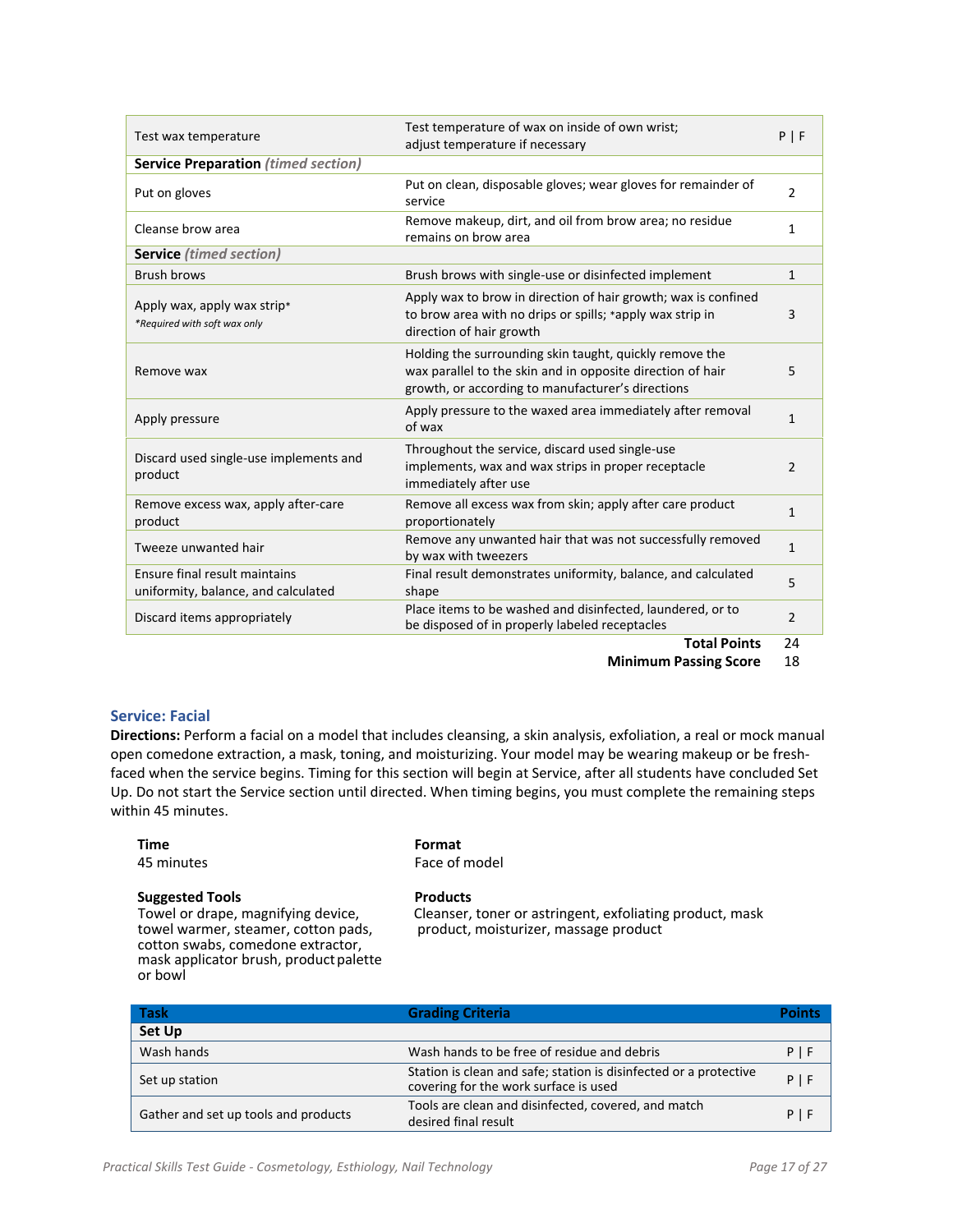| Test wax temperature                                                 | Test temperature of wax on inside of own wrist;<br>adjust temperature if necessary                                                                                         | $P$   F        |
|----------------------------------------------------------------------|----------------------------------------------------------------------------------------------------------------------------------------------------------------------------|----------------|
| <b>Service Preparation (timed section)</b>                           |                                                                                                                                                                            |                |
| Put on gloves                                                        | Put on clean, disposable gloves; wear gloves for remainder of<br>service                                                                                                   | $\overline{2}$ |
| Cleanse brow area                                                    | Remove makeup, dirt, and oil from brow area; no residue<br>remains on brow area                                                                                            | 1              |
| <b>Service</b> (timed section)                                       |                                                                                                                                                                            |                |
| <b>Brush brows</b>                                                   | Brush brows with single-use or disinfected implement                                                                                                                       | $\mathbf{1}$   |
| Apply wax, apply wax strip*<br>*Required with soft wax only          | Apply wax to brow in direction of hair growth; wax is confined<br>to brow area with no drips or spills; *apply wax strip in<br>direction of hair growth                    | 3              |
| Remove wax                                                           | Holding the surrounding skin taught, quickly remove the<br>wax parallel to the skin and in opposite direction of hair<br>growth, or according to manufacturer's directions | 5              |
| Apply pressure                                                       | Apply pressure to the waxed area immediately after removal<br>of wax                                                                                                       | 1              |
| Discard used single-use implements and<br>product                    | Throughout the service, discard used single-use<br>implements, wax and wax strips in proper receptacle<br>immediately after use                                            | 2              |
| Remove excess wax, apply after-care<br>product                       | Remove all excess wax from skin; apply after care product<br>proportionately                                                                                               | $\mathbf{1}$   |
| Tweeze unwanted hair                                                 | Remove any unwanted hair that was not successfully removed<br>by wax with tweezers                                                                                         | $\mathbf{1}$   |
| Ensure final result maintains<br>uniformity, balance, and calculated | Final result demonstrates uniformity, balance, and calculated<br>shape                                                                                                     | 5              |
| Discard items appropriately                                          | Place items to be washed and disinfected, laundered, or to<br>be disposed of in properly labeled receptacles                                                               | $\overline{2}$ |
|                                                                      | <b>Tatal Baist</b>                                                                                                                                                         | $\mathbf{a}$   |

**Total Points** 24

**Minimum Passing Score** 18

#### **Service: Facial**

**Directions:** Perform a facial on a model that includes cleansing, a skin analysis, exfoliation, a real or mock manual open comedone extraction, a mask, toning, and moisturizing. Your model may be wearing makeup or be fresh‐ faced when the service begins. Timing for this section will begin at Service, after all students have concluded Set Up. Do not start the Service section until directed. When timing begins, you must complete the remaining steps within 45 minutes.

#### **Time Format**

45 minutes Face of model

#### **Suggested Tools Products**

Towel or drape, magnifying device, towel warmer, steamer, cotton pads, cotton swabs, comedone extractor, mask applicator brush, product palette or bowl

Cleanser, toner or astringent, exfoliating product, mask product, moisturizer, massage product

| <b>Task</b>                          | <b>Grading Criteria</b>                                                                                    | Points |
|--------------------------------------|------------------------------------------------------------------------------------------------------------|--------|
| <b>Set Up</b>                        |                                                                                                            |        |
| Wash hands                           | Wash hands to be free of residue and debris                                                                | ΡI     |
| Set up station                       | Station is clean and safe; station is disinfected or a protective<br>covering for the work surface is used | PI     |
| Gather and set up tools and products | Tools are clean and disinfected, covered, and match<br>desired final result                                | PI     |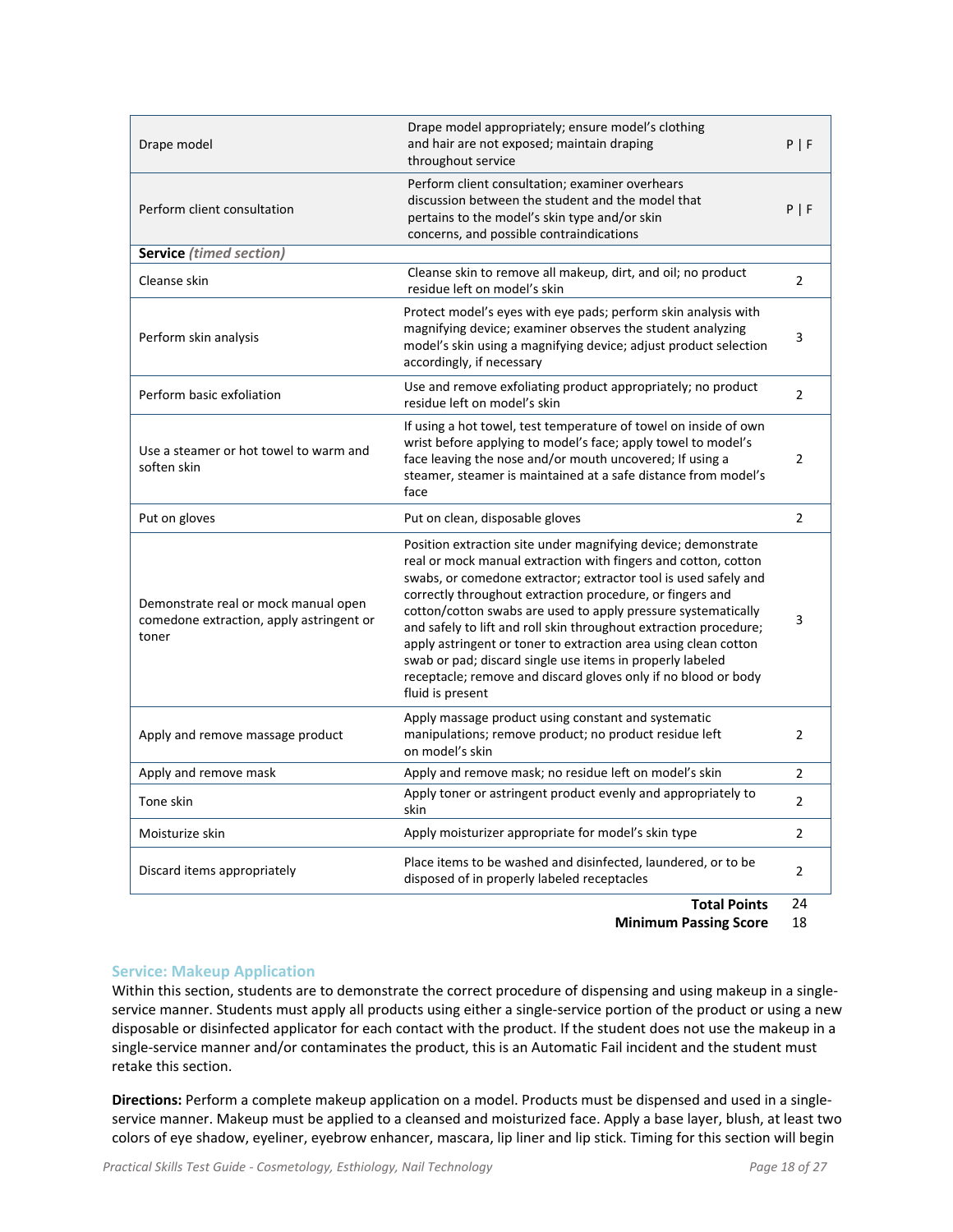| Drape model                                                                               | Drape model appropriately; ensure model's clothing<br>and hair are not exposed; maintain draping<br>throughout service                                                                                                                                                                                                                                                                                                | P   F          |
|-------------------------------------------------------------------------------------------|-----------------------------------------------------------------------------------------------------------------------------------------------------------------------------------------------------------------------------------------------------------------------------------------------------------------------------------------------------------------------------------------------------------------------|----------------|
| Perform client consultation                                                               | Perform client consultation; examiner overhears<br>discussion between the student and the model that<br>pertains to the model's skin type and/or skin<br>concerns, and possible contraindications                                                                                                                                                                                                                     | P   F          |
| <b>Service</b> (timed section)                                                            |                                                                                                                                                                                                                                                                                                                                                                                                                       |                |
| Cleanse skin                                                                              | Cleanse skin to remove all makeup, dirt, and oil; no product<br>residue left on model's skin                                                                                                                                                                                                                                                                                                                          | $\overline{2}$ |
| Perform skin analysis                                                                     | Protect model's eyes with eye pads; perform skin analysis with<br>magnifying device; examiner observes the student analyzing<br>model's skin using a magnifying device; adjust product selection<br>accordingly, if necessary                                                                                                                                                                                         | 3              |
| Perform basic exfoliation                                                                 | Use and remove exfoliating product appropriately; no product<br>residue left on model's skin                                                                                                                                                                                                                                                                                                                          | $\overline{2}$ |
| Use a steamer or hot towel to warm and<br>soften skin                                     | If using a hot towel, test temperature of towel on inside of own<br>wrist before applying to model's face; apply towel to model's<br>face leaving the nose and/or mouth uncovered; If using a<br>steamer, steamer is maintained at a safe distance from model's<br>face                                                                                                                                               | $\overline{2}$ |
| Put on gloves                                                                             | Put on clean, disposable gloves                                                                                                                                                                                                                                                                                                                                                                                       | $\overline{2}$ |
|                                                                                           | Position extraction site under magnifying device; demonstrate<br>real or mock manual extraction with fingers and cotton, cotton<br>swabs, or comedone extractor; extractor tool is used safely and                                                                                                                                                                                                                    |                |
| Demonstrate real or mock manual open<br>comedone extraction, apply astringent or<br>toner | correctly throughout extraction procedure, or fingers and<br>cotton/cotton swabs are used to apply pressure systematically<br>and safely to lift and roll skin throughout extraction procedure;<br>apply astringent or toner to extraction area using clean cotton<br>swab or pad; discard single use items in properly labeled<br>receptacle; remove and discard gloves only if no blood or body<br>fluid is present | 3              |
| Apply and remove massage product                                                          | Apply massage product using constant and systematic<br>manipulations; remove product; no product residue left<br>on model's skin                                                                                                                                                                                                                                                                                      | 2              |
| Apply and remove mask                                                                     | Apply and remove mask; no residue left on model's skin                                                                                                                                                                                                                                                                                                                                                                | $\overline{2}$ |
| Tone skin                                                                                 | Apply toner or astringent product evenly and appropriately to<br>skin                                                                                                                                                                                                                                                                                                                                                 | $\overline{2}$ |
| Moisturize skin                                                                           | Apply moisturizer appropriate for model's skin type                                                                                                                                                                                                                                                                                                                                                                   | $\overline{2}$ |
| Discard items appropriately                                                               | Place items to be washed and disinfected, laundered, or to be<br>disposed of in properly labeled receptacles                                                                                                                                                                                                                                                                                                          | 2              |

**Total Points** 24

**Minimum Passing Score** 18

#### **Service: Makeup Application**

Within this section, students are to demonstrate the correct procedure of dispensing and using makeup in a single‐ service manner. Students must apply all products using either a single-service portion of the product or using a new disposable or disinfected applicator for each contact with the product. If the student does not use the makeup in a single‐service manner and/or contaminates the product, this is an Automatic Fail incident and the student must retake this section.

**Directions:** Perform a complete makeup application on a model. Products must be dispensed and used in a single‐ service manner. Makeup must be applied to a cleansed and moisturized face. Apply a base layer, blush, at least two colors of eye shadow, eyeliner, eyebrow enhancer, mascara, lip liner and lip stick. Timing for this section will begin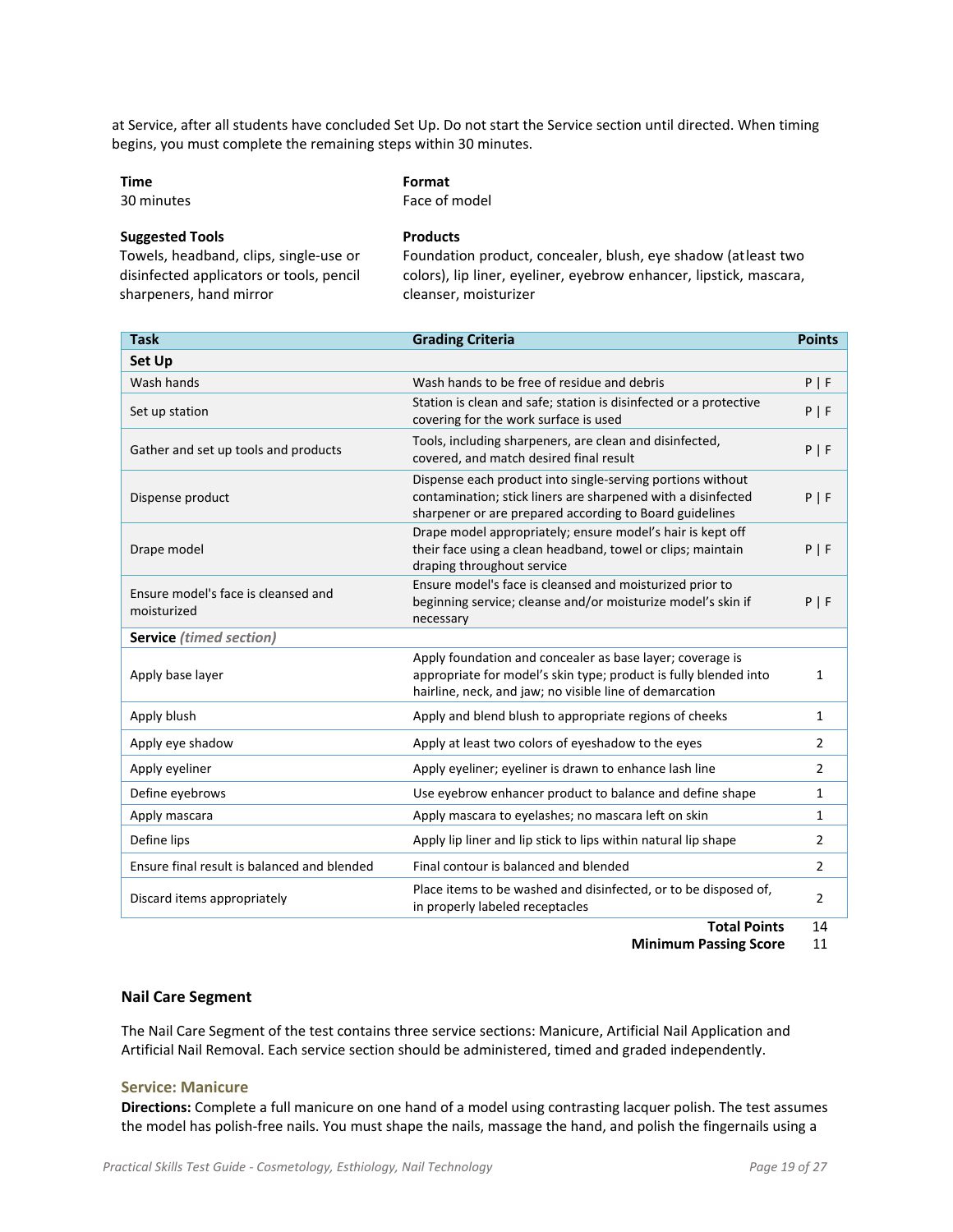at Service, after all students have concluded Set Up. Do not start the Service section until directed. When timing begins, you must complete the remaining steps within 30 minutes.

| Time | Format |
|------|--------|
|      |        |

30 minutes Face of model

**Suggested Tools Products**

Towels, headband, clips, single‐use or disinfected applicators or tools, pencil sharpeners, hand mirror

Foundation product, concealer, blush, eye shadow (atleast two colors), lip liner, eyeliner, eyebrow enhancer, lipstick, mascara, cleanser, moisturizer

| <b>Task</b>                                        | <b>Grading Criteria</b>                                                                                                                                                                  | <b>Points</b>  |
|----------------------------------------------------|------------------------------------------------------------------------------------------------------------------------------------------------------------------------------------------|----------------|
| <b>Set Up</b>                                      |                                                                                                                                                                                          |                |
| Wash hands                                         | Wash hands to be free of residue and debris                                                                                                                                              | P   F          |
| Set up station                                     | Station is clean and safe; station is disinfected or a protective<br>covering for the work surface is used                                                                               | P   F          |
| Gather and set up tools and products               | Tools, including sharpeners, are clean and disinfected,<br>covered, and match desired final result                                                                                       | P   F          |
| Dispense product                                   | Dispense each product into single-serving portions without<br>contamination; stick liners are sharpened with a disinfected<br>sharpener or are prepared according to Board guidelines    | $P$   F        |
| Drape model                                        | Drape model appropriately; ensure model's hair is kept off<br>their face using a clean headband, towel or clips; maintain<br>draping throughout service                                  | $P$   F        |
| Ensure model's face is cleansed and<br>moisturized | Ensure model's face is cleansed and moisturized prior to<br>beginning service; cleanse and/or moisturize model's skin if<br>necessary                                                    | $P$   F        |
| <b>Service</b> (timed section)                     |                                                                                                                                                                                          |                |
| Apply base layer                                   | Apply foundation and concealer as base layer; coverage is<br>appropriate for model's skin type; product is fully blended into<br>hairline, neck, and jaw; no visible line of demarcation | 1              |
| Apply blush                                        | Apply and blend blush to appropriate regions of cheeks                                                                                                                                   | $\mathbf{1}$   |
| Apply eye shadow                                   | Apply at least two colors of eyeshadow to the eyes                                                                                                                                       | $\overline{2}$ |
| Apply eyeliner                                     | Apply eyeliner; eyeliner is drawn to enhance lash line                                                                                                                                   | 2              |
| Define eyebrows                                    | Use eyebrow enhancer product to balance and define shape                                                                                                                                 | 1              |
| Apply mascara                                      | Apply mascara to eyelashes; no mascara left on skin                                                                                                                                      | $\mathbf{1}$   |
| Define lips                                        | Apply lip liner and lip stick to lips within natural lip shape                                                                                                                           | $\overline{2}$ |
| Ensure final result is balanced and blended        | Final contour is balanced and blended                                                                                                                                                    | 2              |
| Discard items appropriately                        | Place items to be washed and disinfected, or to be disposed of,<br>in properly labeled receptacles                                                                                       | 2              |

**Total Points** 14

**Minimum Passing Score** 11

#### **Nail Care Segment**

The Nail Care Segment of the test contains three service sections: Manicure, Artificial Nail Application and Artificial Nail Removal. Each service section should be administered, timed and graded independently.

#### **Service: Manicure**

**Directions:** Complete a full manicure on one hand of a model using contrasting lacquer polish. The test assumes the model has polish‐free nails. You must shape the nails, massage the hand, and polish the fingernails using a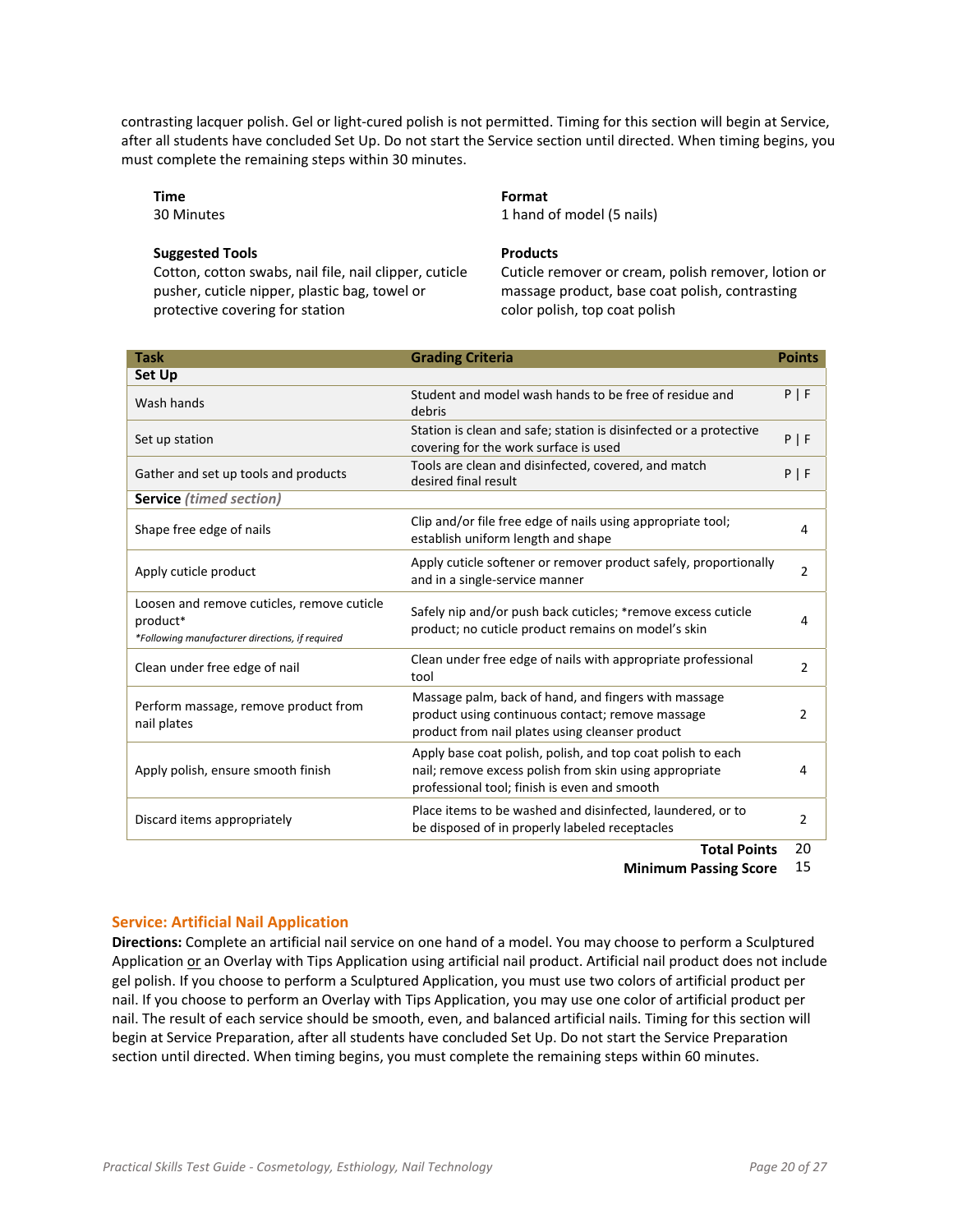contrasting lacquer polish. Gel or light-cured polish is not permitted. Timing for this section will begin at Service, after all students have concluded Set Up. Do not start the Service section until directed. When timing begins, you must complete the remaining steps within 30 minutes.

#### **Time**

30 Minutes

#### **Suggested Tools**

Cotton, cotton swabs, nail file, nail clipper, cuticle pusher, cuticle nipper, plastic bag, towel or protective covering for station

#### **Format**

1 hand of model (5 nails)

#### **Products**

Cuticle remover or cream, polish remover, lotion or massage product, base coat polish, contrasting color polish, top coat polish

| <b>Task</b>                                                                                               | <b>Grading Criteria</b>                                                                                                                                               | <b>Points</b>  |
|-----------------------------------------------------------------------------------------------------------|-----------------------------------------------------------------------------------------------------------------------------------------------------------------------|----------------|
| Set Up                                                                                                    |                                                                                                                                                                       |                |
| Wash hands                                                                                                | Student and model wash hands to be free of residue and<br>debris                                                                                                      | P   F          |
| Set up station                                                                                            | Station is clean and safe; station is disinfected or a protective<br>covering for the work surface is used                                                            | P   F          |
| Gather and set up tools and products                                                                      | Tools are clean and disinfected, covered, and match<br>desired final result                                                                                           | P   F          |
| <b>Service</b> (timed section)                                                                            |                                                                                                                                                                       |                |
| Shape free edge of nails                                                                                  | Clip and/or file free edge of nails using appropriate tool;<br>establish uniform length and shape                                                                     | 4              |
| Apply cuticle product                                                                                     | Apply cuticle softener or remover product safely, proportionally<br>and in a single-service manner                                                                    | $\overline{2}$ |
| Loosen and remove cuticles, remove cuticle<br>product*<br>*Following manufacturer directions, if required | Safely nip and/or push back cuticles; *remove excess cuticle<br>product; no cuticle product remains on model's skin                                                   | 4              |
| Clean under free edge of nail                                                                             | Clean under free edge of nails with appropriate professional<br>tool                                                                                                  | 2              |
| Perform massage, remove product from<br>nail plates                                                       | Massage palm, back of hand, and fingers with massage<br>product using continuous contact; remove massage<br>product from nail plates using cleanser product           | 2              |
| Apply polish, ensure smooth finish                                                                        | Apply base coat polish, polish, and top coat polish to each<br>nail; remove excess polish from skin using appropriate<br>professional tool; finish is even and smooth | 4              |
| Discard items appropriately                                                                               | Place items to be washed and disinfected, laundered, or to<br>be disposed of in properly labeled receptacles<br>-                                                     | 2<br>ົ         |

**Total Points** 20

**Minimum Passing Score** 15

#### **Service: Artificial Nail Application**

**Directions:** Complete an artificial nail service on one hand of a model. You may choose to perform a Sculptured Application or an Overlay with Tips Application using artificial nail product. Artificial nail product does not include gel polish. If you choose to perform a Sculptured Application, you must use two colors of artificial product per nail. If you choose to perform an Overlay with Tips Application, you may use one color of artificial product per nail. The result of each service should be smooth, even, and balanced artificial nails. Timing for this section will begin at Service Preparation, after all students have concluded Set Up. Do not start the Service Preparation section until directed. When timing begins, you must complete the remaining steps within 60 minutes.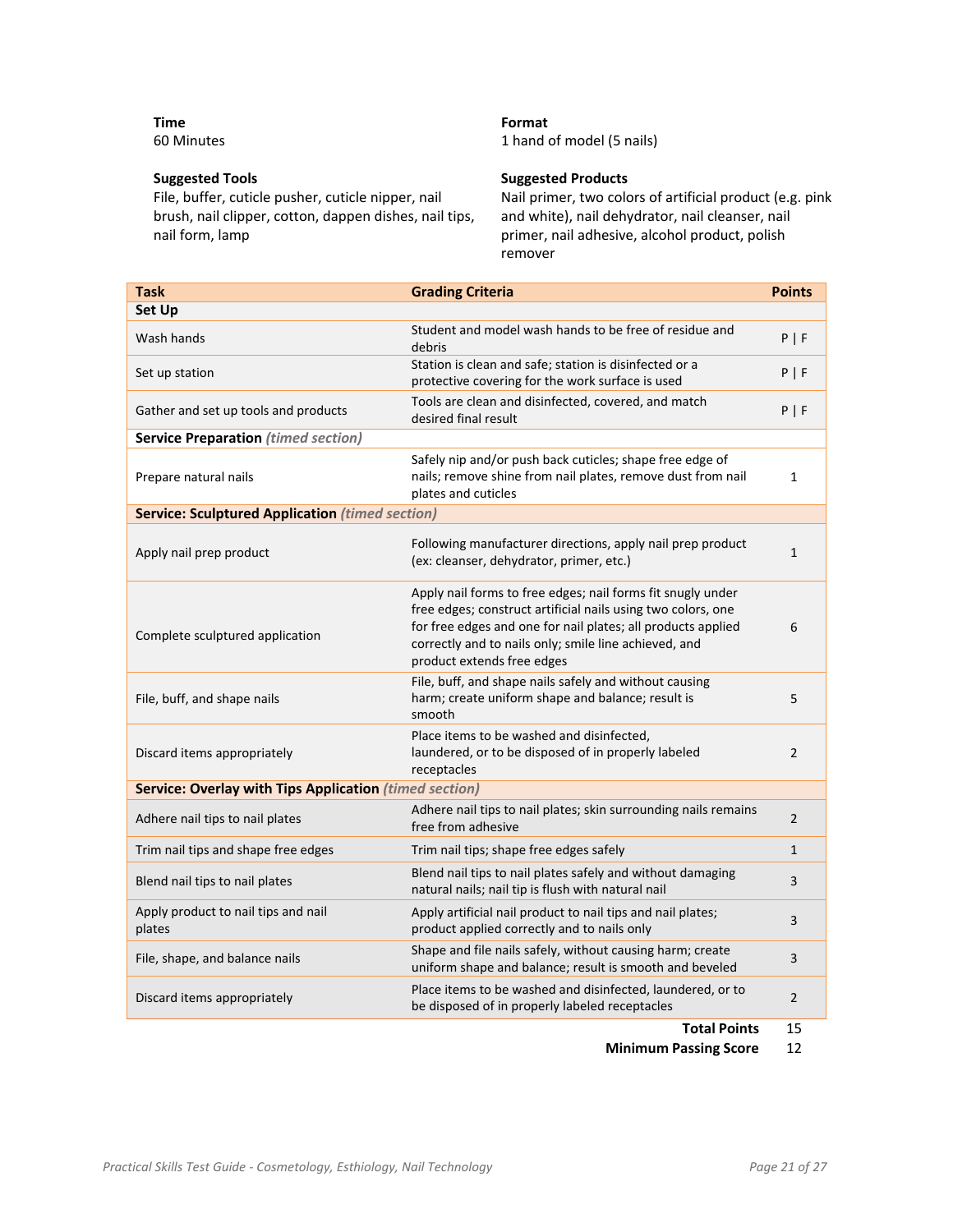**Time** 60 Minutes

#### **Suggested Tools**

File, buffer, cuticle pusher, cuticle nipper, nail brush, nail clipper, cotton, dappen dishes, nail tips, nail form, lamp

#### **Format**

1 hand of model (5 nails)

#### **Suggested Products**

Nail primer, two colors of artificial product (e.g. pink and white), nail dehydrator, nail cleanser, nail primer, nail adhesive, alcohol product, polish remover

| <b>Task</b>                                            | <b>Grading Criteria</b>                                                                                                                                                                                                                                                            | <b>Points</b>  |
|--------------------------------------------------------|------------------------------------------------------------------------------------------------------------------------------------------------------------------------------------------------------------------------------------------------------------------------------------|----------------|
| <b>Set Up</b>                                          |                                                                                                                                                                                                                                                                                    |                |
| Wash hands                                             | Student and model wash hands to be free of residue and<br>debris                                                                                                                                                                                                                   | P   F          |
| Set up station                                         | Station is clean and safe; station is disinfected or a<br>protective covering for the work surface is used                                                                                                                                                                         | P   F          |
| Gather and set up tools and products                   | Tools are clean and disinfected, covered, and match<br>desired final result                                                                                                                                                                                                        | P   F          |
| <b>Service Preparation (timed section)</b>             |                                                                                                                                                                                                                                                                                    |                |
| Prepare natural nails                                  | Safely nip and/or push back cuticles; shape free edge of<br>nails; remove shine from nail plates, remove dust from nail<br>plates and cuticles                                                                                                                                     | 1              |
| <b>Service: Sculptured Application (timed section)</b> |                                                                                                                                                                                                                                                                                    |                |
| Apply nail prep product                                | Following manufacturer directions, apply nail prep product<br>(ex: cleanser, dehydrator, primer, etc.)                                                                                                                                                                             | $\mathbf{1}$   |
| Complete sculptured application                        | Apply nail forms to free edges; nail forms fit snugly under<br>free edges; construct artificial nails using two colors, one<br>for free edges and one for nail plates; all products applied<br>correctly and to nails only; smile line achieved, and<br>product extends free edges | 6              |
| File, buff, and shape nails                            | File, buff, and shape nails safely and without causing<br>harm; create uniform shape and balance; result is<br>smooth                                                                                                                                                              | 5              |
| Discard items appropriately                            | Place items to be washed and disinfected,<br>laundered, or to be disposed of in properly labeled<br>receptacles                                                                                                                                                                    | $\overline{2}$ |
| Service: Overlay with Tips Application (timed section) |                                                                                                                                                                                                                                                                                    |                |
| Adhere nail tips to nail plates                        | Adhere nail tips to nail plates; skin surrounding nails remains<br>free from adhesive                                                                                                                                                                                              | $\overline{2}$ |
| Trim nail tips and shape free edges                    | Trim nail tips; shape free edges safely                                                                                                                                                                                                                                            | $\mathbf{1}$   |
| Blend nail tips to nail plates                         | Blend nail tips to nail plates safely and without damaging<br>natural nails; nail tip is flush with natural nail                                                                                                                                                                   | 3              |
| Apply product to nail tips and nail<br>plates          | Apply artificial nail product to nail tips and nail plates;<br>product applied correctly and to nails only                                                                                                                                                                         | 3              |
| File, shape, and balance nails                         | Shape and file nails safely, without causing harm; create<br>uniform shape and balance; result is smooth and beveled                                                                                                                                                               | 3              |
| Discard items appropriately                            | Place items to be washed and disinfected, laundered, or to<br>be disposed of in properly labeled receptacles                                                                                                                                                                       | $\overline{2}$ |

**Total Points** 15

**Minimum Passing Score** 12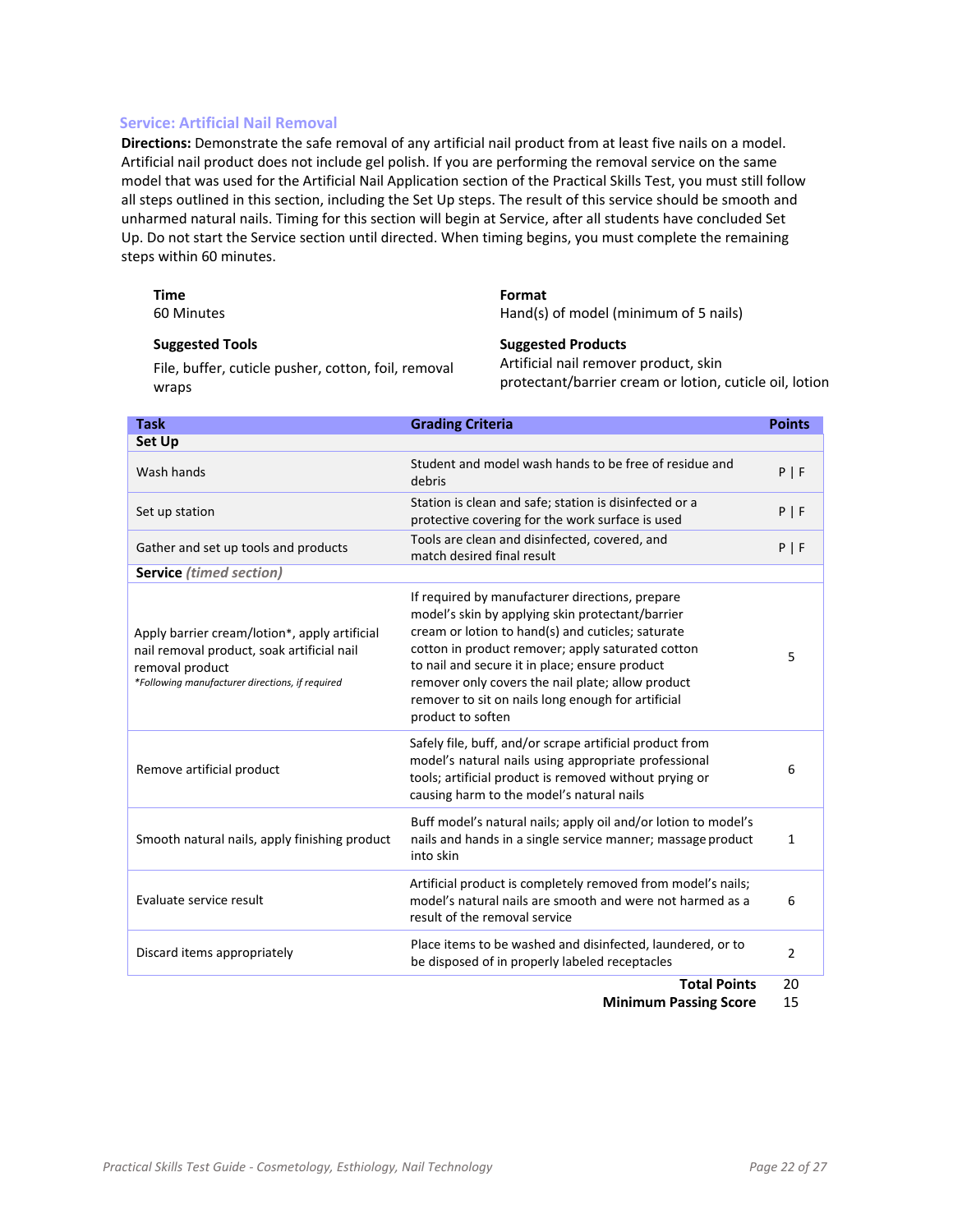#### **Service: Artificial Nail Removal**

**Directions:** Demonstrate the safe removal of any artificial nail product from at least five nails on a model. Artificial nail product does not include gel polish. If you are performing the removal service on the same model that was used for the Artificial Nail Application section of the Practical Skills Test, you must still follow all steps outlined in this section, including the Set Up steps. The result of this service should be smooth and unharmed natural nails. Timing for this section will begin at Service, after all students have concluded Set Up. Do not start the Service section until directed. When timing begins, you must complete the remaining steps within 60 minutes.

| <b>Time</b> | Format                                |
|-------------|---------------------------------------|
| 60 Minutes  | Hand(s) of model (minimum of 5 nails) |

#### **Suggested Tools**

File, buffer, cuticle pusher, cotton, foil, removal wraps

**Suggested Products** Artificial nail remover product, skin protectant/barrier cream or lotion, cuticle oil, lotion

| <b>Set Up</b>                                                                                                                                                                                                                                                                                                                                                                                                                                                                                                                                                        |                      |
|----------------------------------------------------------------------------------------------------------------------------------------------------------------------------------------------------------------------------------------------------------------------------------------------------------------------------------------------------------------------------------------------------------------------------------------------------------------------------------------------------------------------------------------------------------------------|----------------------|
| Student and model wash hands to be free of residue and<br>Wash hands<br>debris                                                                                                                                                                                                                                                                                                                                                                                                                                                                                       | P   F                |
| Station is clean and safe; station is disinfected or a<br>Set up station<br>protective covering for the work surface is used                                                                                                                                                                                                                                                                                                                                                                                                                                         | P   F                |
| Tools are clean and disinfected, covered, and<br>Gather and set up tools and products<br>match desired final result                                                                                                                                                                                                                                                                                                                                                                                                                                                  | P   F                |
| <b>Service</b> (timed section)                                                                                                                                                                                                                                                                                                                                                                                                                                                                                                                                       |                      |
| If required by manufacturer directions, prepare<br>model's skin by applying skin protectant/barrier<br>cream or lotion to hand(s) and cuticles; saturate<br>Apply barrier cream/lotion*, apply artificial<br>cotton in product remover; apply saturated cotton<br>nail removal product, soak artificial nail<br>to nail and secure it in place; ensure product<br>removal product<br>*Following manufacturer directions, if required<br>remover only covers the nail plate; allow product<br>remover to sit on nails long enough for artificial<br>product to soften | 5                    |
| Safely file, buff, and/or scrape artificial product from<br>model's natural nails using appropriate professional<br>Remove artificial product<br>tools; artificial product is removed without prying or<br>causing harm to the model's natural nails                                                                                                                                                                                                                                                                                                                 | 6                    |
| Buff model's natural nails; apply oil and/or lotion to model's<br>Smooth natural nails, apply finishing product<br>nails and hands in a single service manner; massage product<br>into skin                                                                                                                                                                                                                                                                                                                                                                          | 1                    |
| Artificial product is completely removed from model's nails;<br>Evaluate service result<br>model's natural nails are smooth and were not harmed as a<br>result of the removal service                                                                                                                                                                                                                                                                                                                                                                                | 6                    |
| Place items to be washed and disinfected, laundered, or to<br>Discard items appropriately<br>be disposed of in properly labeled receptacles<br><b>Tatal Baist</b>                                                                                                                                                                                                                                                                                                                                                                                                    | $\overline{2}$<br>n۵ |

**Total Points** 20

**Minimum Passing Score** 15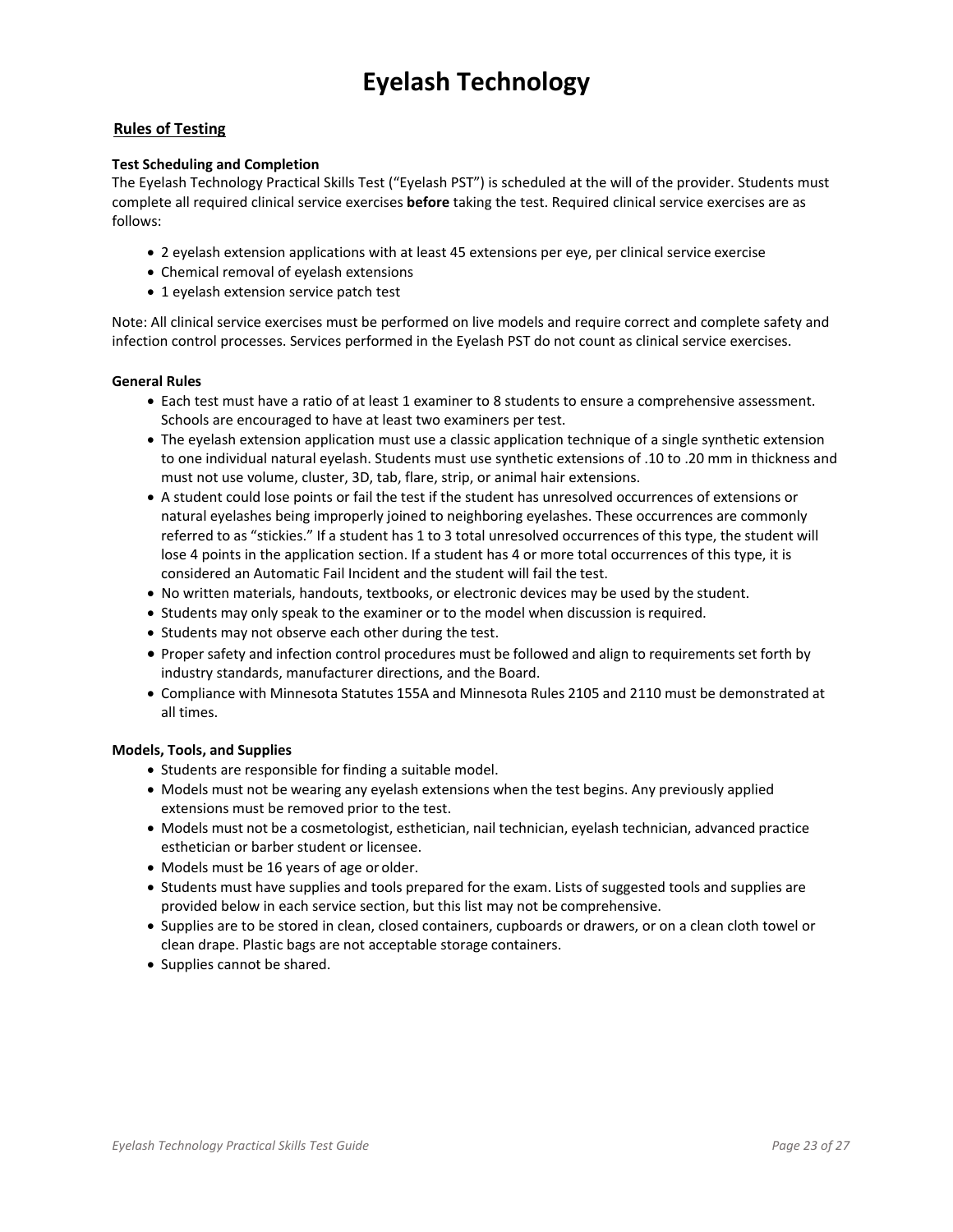## **Eyelash Technology**

#### **Rules of Testing**

#### **Test Scheduling and Completion**

The Eyelash Technology Practical Skills Test ("Eyelash PST") is scheduled at the will of the provider. Students must complete all required clinical service exercises **before** taking the test. Required clinical service exercises are as follows:

- 2 eyelash extension applications with at least 45 extensions per eye, per clinical service exercise
- Chemical removal of eyelash extensions
- 1 eyelash extension service patch test

Note: All clinical service exercises must be performed on live models and require correct and complete safety and infection control processes. Services performed in the Eyelash PST do not count as clinical service exercises.

#### **General Rules**

- Each test must have a ratio of at least 1 examiner to 8 students to ensure a comprehensive assessment. Schools are encouraged to have at least two examiners per test.
- The evelash extension application must use a classic application technique of a single synthetic extension to one individual natural eyelash. Students must use synthetic extensions of .10 to .20 mm in thickness and must not use volume, cluster, 3D, tab, flare, strip, or animal hair extensions.
- A student could lose points or fail the test if the student has unresolved occurrences of extensions or natural eyelashes being improperly joined to neighboring eyelashes. These occurrences are commonly referred to as "stickies." If a student has 1 to 3 total unresolved occurrences of this type, the student will lose 4 points in the application section. If a student has 4 or more total occurrences of this type, it is considered an Automatic Fail Incident and the student will fail the test.
- No written materials, handouts, textbooks, or electronic devices may be used by the student.
- Students may only speak to the examiner or to the model when discussion is required.
- Students may not observe each other during the test.
- Proper safety and infection control procedures must be followed and align to requirements set forth by industry standards, manufacturer directions, and the Board.
- Compliance with Minnesota Statutes 155A and Minnesota Rules 2105 and 2110 must be demonstrated at all times.

#### **Models, Tools, and Supplies**

- Students are responsible for finding a suitable model.
- Models must not be wearing any eyelash extensions when the test begins. Any previously applied extensions must be removed prior to the test.
- Models must not be a cosmetologist, esthetician, nail technician, eyelash technician, advanced practice esthetician or barber student or licensee.
- Models must be 16 years of age or older.
- Students must have supplies and tools prepared for the exam. Lists of suggested tools and supplies are provided below in each service section, but this list may not be comprehensive.
- Supplies are to be stored in clean, closed containers, cupboards or drawers, or on a clean cloth towel or clean drape. Plastic bags are not acceptable storage containers.
- Supplies cannot be shared.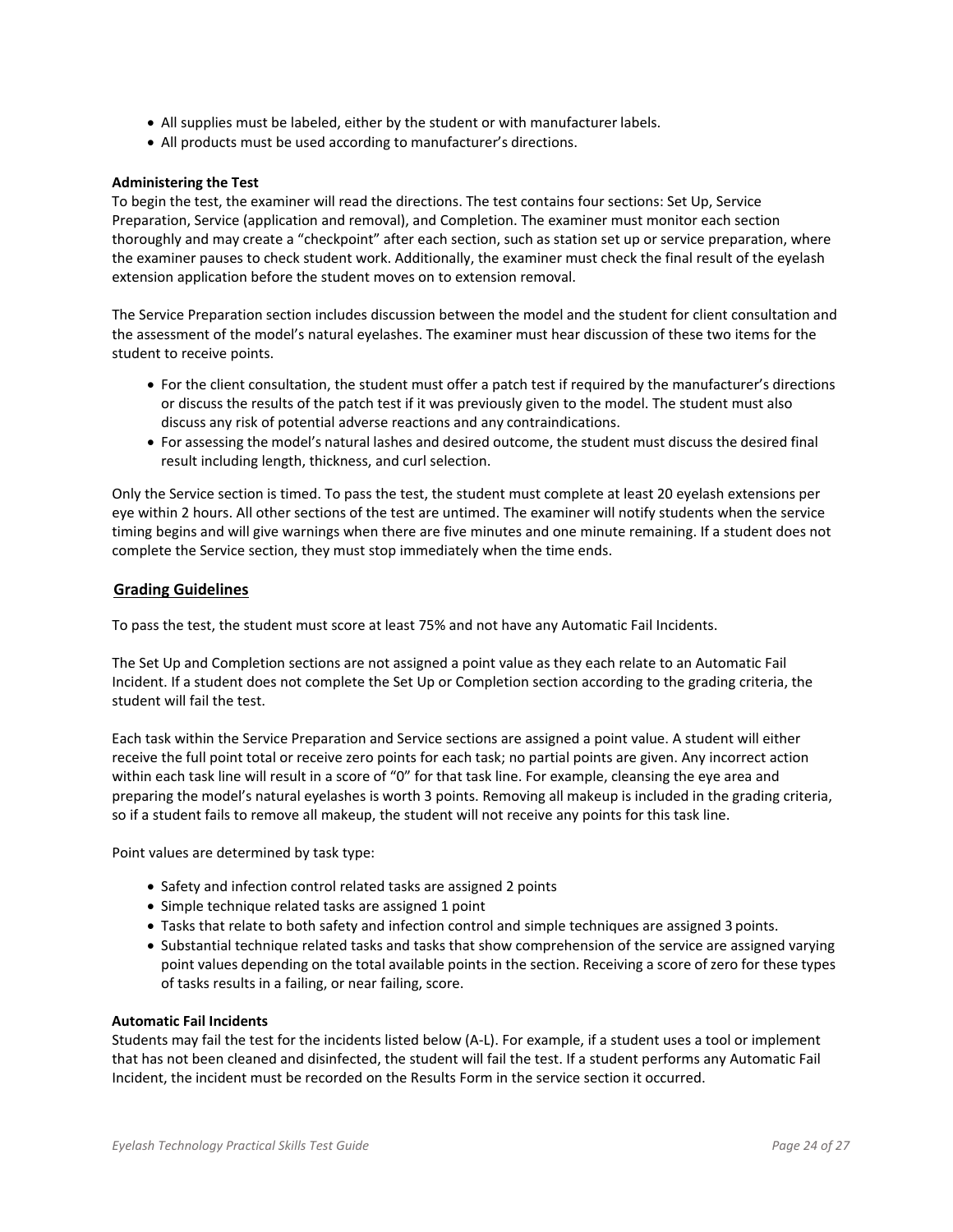- All supplies must be labeled, either by the student or with manufacturer labels.
- All products must be used according to manufacturer's directions.

#### **Administering the Test**

To begin the test, the examiner will read the directions. The test contains four sections: Set Up, Service Preparation, Service (application and removal), and Completion. The examiner must monitor each section thoroughly and may create a "checkpoint" after each section, such as station set up or service preparation, where the examiner pauses to check student work. Additionally, the examiner must check the final result of the eyelash extension application before the student moves on to extension removal.

The Service Preparation section includes discussion between the model and the student for client consultation and the assessment of the model's natural eyelashes. The examiner must hear discussion of these two items for the student to receive points.

- For the client consultation, the student must offer a patch test if required by the manufacturer's directions or discuss the results of the patch test if it was previously given to the model. The student must also discuss any risk of potential adverse reactions and any contraindications.
- For assessing the model's natural lashes and desired outcome, the student must discuss the desired final result including length, thickness, and curl selection.

Only the Service section is timed. To pass the test, the student must complete at least 20 eyelash extensions per eye within 2 hours. All other sections of the test are untimed. The examiner will notify students when the service timing begins and will give warnings when there are five minutes and one minute remaining. If a student does not complete the Service section, they must stop immediately when the time ends.

#### **Grading Guidelines**

To pass the test, the student must score at least 75% and not have any Automatic Fail Incidents.

The Set Up and Completion sections are not assigned a point value as they each relate to an Automatic Fail Incident. If a student does not complete the Set Up or Completion section according to the grading criteria, the student will fail the test.

Each task within the Service Preparation and Service sections are assigned a point value. A student will either receive the full point total or receive zero points for each task; no partial points are given. Any incorrect action within each task line will result in a score of "0" for that task line. For example, cleansing the eye area and preparing the model's natural eyelashes is worth 3 points. Removing all makeup is included in the grading criteria, so if a student fails to remove all makeup, the student will not receive any points for this task line.

Point values are determined by task type:

- Safety and infection control related tasks are assigned 2 points
- Simple technique related tasks are assigned 1 point
- Tasks that relate to both safety and infection control and simple techniques are assigned 3 points.
- Substantial technique related tasks and tasks that show comprehension of the service are assigned varying point values depending on the total available points in the section. Receiving a score of zero for these types of tasks results in a failing, or near failing, score.

#### **Automatic Fail Incidents**

Students may fail the test for the incidents listed below (A‐L). For example, if a student uses a tool or implement that has not been cleaned and disinfected, the student will fail the test. If a student performs any Automatic Fail Incident, the incident must be recorded on the Results Form in the service section it occurred.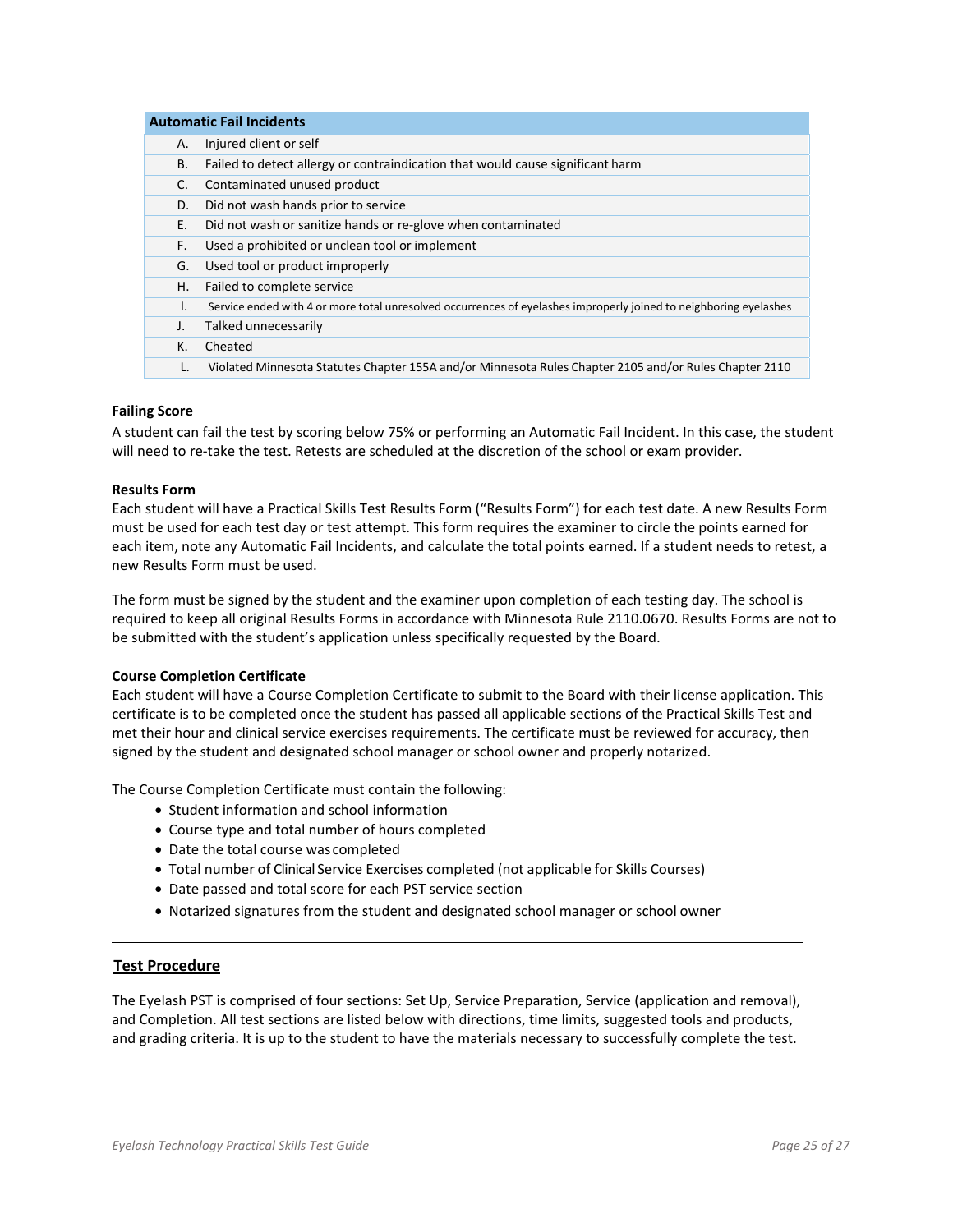|    | <b>Automatic Fail Incidents</b>                                                                                   |  |
|----|-------------------------------------------------------------------------------------------------------------------|--|
| А. | Injured client or self                                                                                            |  |
| В. | Failed to detect allergy or contraindication that would cause significant harm                                    |  |
| C. | Contaminated unused product                                                                                       |  |
| D. | Did not wash hands prior to service                                                                               |  |
| Ε. | Did not wash or sanitize hands or re-glove when contaminated                                                      |  |
| F. | Used a prohibited or unclean tool or implement                                                                    |  |
| G. | Used tool or product improperly                                                                                   |  |
| Η. | Failed to complete service                                                                                        |  |
| L. | Service ended with 4 or more total unresolved occurrences of eyelashes improperly joined to neighboring eyelashes |  |
| J. | Talked unnecessarily                                                                                              |  |
| К. | Cheated                                                                                                           |  |
| L. | Violated Minnesota Statutes Chapter 155A and/or Minnesota Rules Chapter 2105 and/or Rules Chapter 2110            |  |

#### **Failing Score**

A student can fail the test by scoring below 75% or performing an Automatic Fail Incident. In this case, the student will need to re-take the test. Retests are scheduled at the discretion of the school or exam provider.

#### **Results Form**

Each student will have a Practical Skills Test Results Form ("Results Form") for each test date. A new Results Form must be used for each test day or test attempt. This form requires the examiner to circle the points earned for each item, note any Automatic Fail Incidents, and calculate the total points earned. If a student needs to retest, a new Results Form must be used.

The form must be signed by the student and the examiner upon completion of each testing day. The school is required to keep all original Results Forms in accordance with Minnesota Rule 2110.0670. Results Forms are not to be submitted with the student's application unless specifically requested by the Board.

#### **Course Completion Certificate**

Each student will have a Course Completion Certificate to submit to the Board with their license application. This certificate is to be completed once the student has passed all applicable sections of the Practical Skills Test and met their hour and clinical service exercises requirements. The certificate must be reviewed for accuracy, then signed by the student and designated school manager or school owner and properly notarized.

The Course Completion Certificate must contain the following:

- Student information and school information
- Course type and total number of hours completed
- Date the total course was completed
- Total number of Clinical Service Exercises completed (not applicable for Skills Courses)
- Date passed and total score for each PST service section
- Notarized signatures from the student and designated school manager or school owner

#### **Test Procedure**

The Eyelash PST is comprised of four sections: Set Up, Service Preparation, Service (application and removal), and Completion. All test sections are listed below with directions, time limits, suggested tools and products, and grading criteria. It is up to the student to have the materials necessary to successfully complete the test.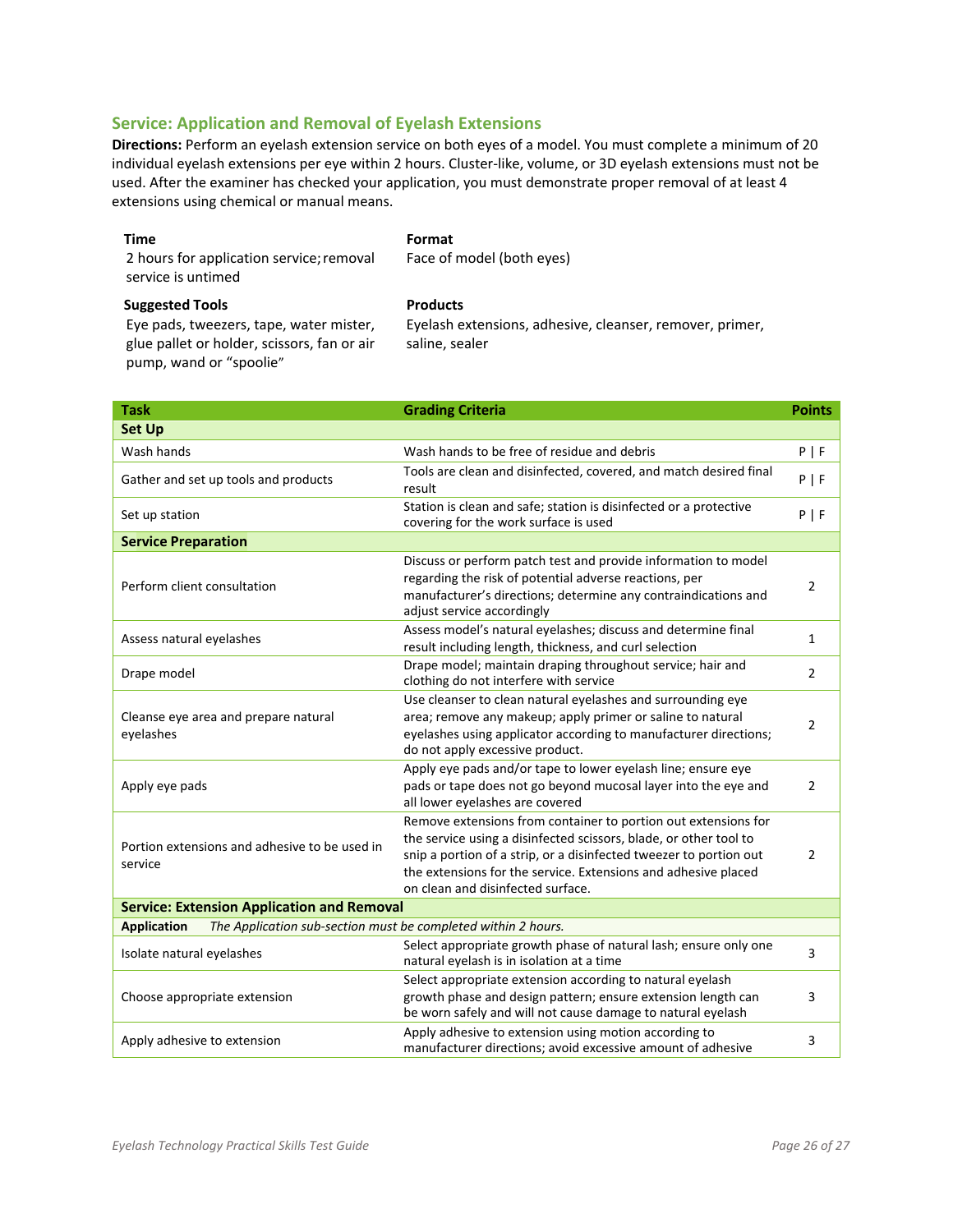#### **Service: Application and Removal of Eyelash Extensions**

**Directions:** Perform an eyelash extension service on both eyes of a model. You must complete a minimum of 20 individual eyelash extensions per eye within 2 hours. Cluster‐like, volume, or 3D eyelash extensions must not be used. After the examiner has checked your application, you must demonstrate proper removal of at least 4 extensions using chemical or manual means.

| Time                                     | Format                    |
|------------------------------------------|---------------------------|
| 2 hours for application service; removal | Face of model (both eyes) |
| service is untimed                       |                           |
| <b>Suggested Tools</b>                   | <b>Products</b>           |

Eye pads, tweezers, tape, water mister, glue pallet or holder, scissors, fan or air pump, wand or "spoolie"

Eyelash extensions, adhesive, cleanser, remover, primer, saline, sealer

| <b>Task</b>                                                                         | <b>Grading Criteria</b>                                                                                                                                                                                                                                                                                          | <b>Points</b>  |
|-------------------------------------------------------------------------------------|------------------------------------------------------------------------------------------------------------------------------------------------------------------------------------------------------------------------------------------------------------------------------------------------------------------|----------------|
| <b>Set Up</b>                                                                       |                                                                                                                                                                                                                                                                                                                  |                |
| Wash hands                                                                          | Wash hands to be free of residue and debris                                                                                                                                                                                                                                                                      | P   F          |
| Gather and set up tools and products                                                | Tools are clean and disinfected, covered, and match desired final<br>result                                                                                                                                                                                                                                      | P   F          |
| Set up station                                                                      | Station is clean and safe; station is disinfected or a protective<br>covering for the work surface is used                                                                                                                                                                                                       | P   F          |
| <b>Service Preparation</b>                                                          |                                                                                                                                                                                                                                                                                                                  |                |
| Perform client consultation                                                         | Discuss or perform patch test and provide information to model<br>regarding the risk of potential adverse reactions, per<br>manufacturer's directions; determine any contraindications and<br>adjust service accordingly                                                                                         | 2              |
| Assess natural eyelashes                                                            | Assess model's natural eyelashes; discuss and determine final<br>result including length, thickness, and curl selection                                                                                                                                                                                          | $\mathbf{1}$   |
| Drape model                                                                         | Drape model; maintain draping throughout service; hair and<br>clothing do not interfere with service                                                                                                                                                                                                             | $\overline{2}$ |
| Cleanse eye area and prepare natural<br>eyelashes                                   | Use cleanser to clean natural eyelashes and surrounding eye<br>area; remove any makeup; apply primer or saline to natural<br>eyelashes using applicator according to manufacturer directions;<br>do not apply excessive product.                                                                                 | $\overline{2}$ |
| Apply eye pads                                                                      | Apply eye pads and/or tape to lower eyelash line; ensure eye<br>pads or tape does not go beyond mucosal layer into the eye and<br>all lower eyelashes are covered                                                                                                                                                | 2              |
| Portion extensions and adhesive to be used in<br>service                            | Remove extensions from container to portion out extensions for<br>the service using a disinfected scissors, blade, or other tool to<br>snip a portion of a strip, or a disinfected tweezer to portion out<br>the extensions for the service. Extensions and adhesive placed<br>on clean and disinfected surface. | $\overline{2}$ |
| <b>Service: Extension Application and Removal</b>                                   |                                                                                                                                                                                                                                                                                                                  |                |
| <b>Application</b><br>The Application sub-section must be completed within 2 hours. |                                                                                                                                                                                                                                                                                                                  |                |
| Isolate natural eyelashes                                                           | Select appropriate growth phase of natural lash; ensure only one<br>natural eyelash is in isolation at a time                                                                                                                                                                                                    | 3              |
| Choose appropriate extension                                                        | Select appropriate extension according to natural eyelash<br>growth phase and design pattern; ensure extension length can<br>be worn safely and will not cause damage to natural eyelash                                                                                                                         | 3              |
| Apply adhesive to extension                                                         | Apply adhesive to extension using motion according to<br>manufacturer directions; avoid excessive amount of adhesive                                                                                                                                                                                             | 3              |